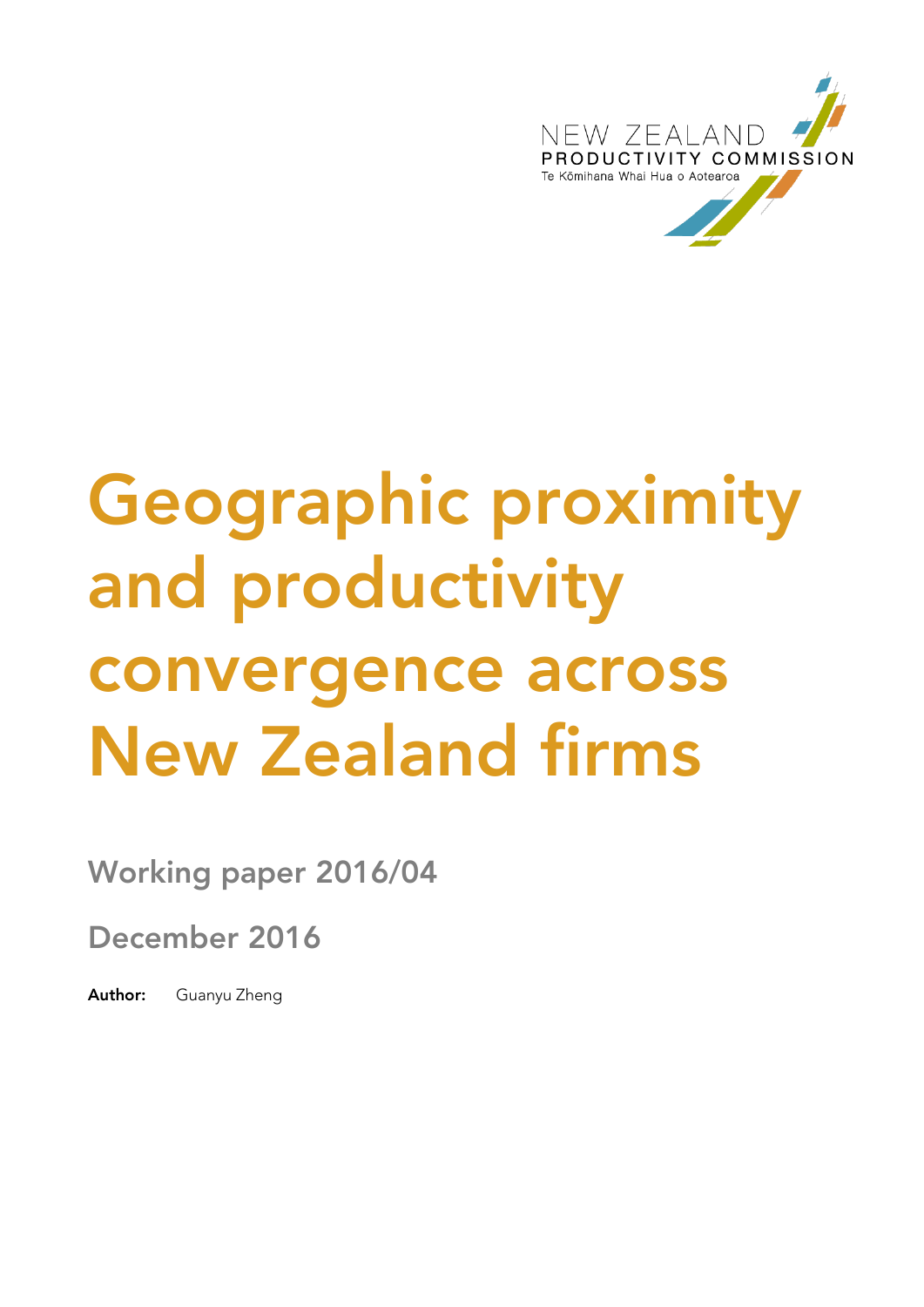

# **Geographic proximity and productivity convergence across New Zealand firms**

**Working paper 2016/04**

**December 2016**

**Author:** Guanyu Zheng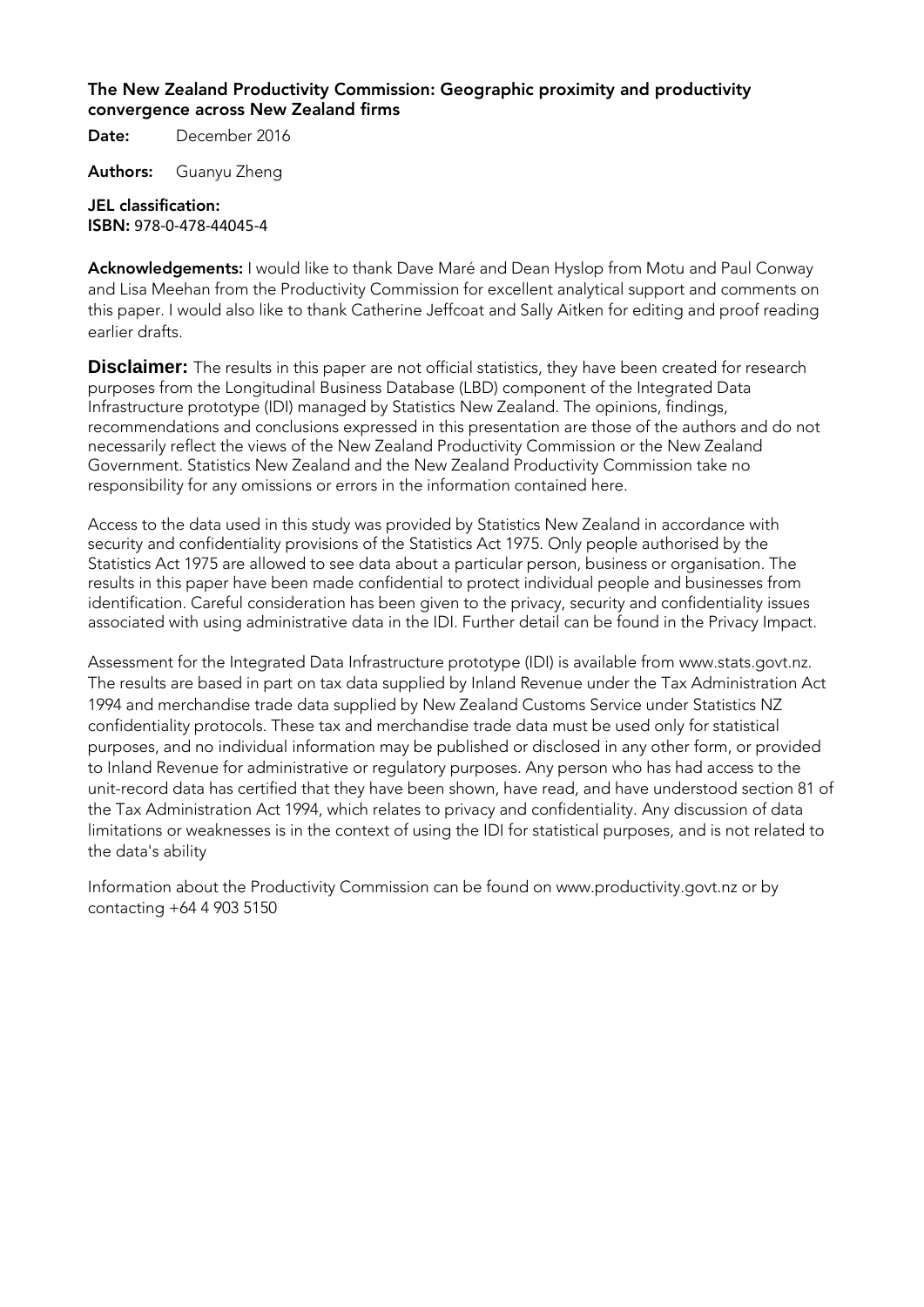#### **The New Zealand Productivity Commission: Geographic proximity and productivity convergence across New Zealand firms**

**Date:** December 2016

**Authors:** Guanyu Zheng

#### **JEL classification: ISBN:** 978-0-478-44045-4

**Acknowledgements:** I would like to thank Dave Maré and Dean Hyslop from Motu and Paul Conway and Lisa Meehan from the Productivity Commission for excellent analytical support and comments on this paper. I would also like to thank Catherine Jeffcoat and Sally Aitken for editing and proof reading earlier drafts.

**Disclaimer:** The results in this paper are not official statistics, they have been created for research purposes from the Longitudinal Business Database (LBD) component of the Integrated Data Infrastructure prototype (IDI) managed by Statistics New Zealand. The opinions, findings, recommendations and conclusions expressed in this presentation are those of the authors and do not necessarily reflect the views of the New Zealand Productivity Commission or the New Zealand Government. Statistics New Zealand and the New Zealand Productivity Commission take no responsibility for any omissions or errors in the information contained here.

Access to the data used in this study was provided by Statistics New Zealand in accordance with security and confidentiality provisions of the Statistics Act 1975. Only people authorised by the Statistics Act 1975 are allowed to see data about a particular person, business or organisation. The results in this paper have been made confidential to protect individual people and businesses from identification. Careful consideration has been given to the privacy, security and confidentiality issues associated with using administrative data in the IDI. Further detail can be found in the Privacy Impact.

Assessment for the Integrated Data Infrastructure prototype (IDI) is available from www.stats.govt.nz. The results are based in part on tax data supplied by Inland Revenue under the Tax Administration Act 1994 and merchandise trade data supplied by New Zealand Customs Service under Statistics NZ confidentiality protocols. These tax and merchandise trade data must be used only for statistical purposes, and no individual information may be published or disclosed in any other form, or provided to Inland Revenue for administrative or regulatory purposes. Any person who has had access to the unit-record data has certified that they have been shown, have read, and have understood section 81 of the Tax Administration Act 1994, which relates to privacy and confidentiality. Any discussion of data limitations or weaknesses is in the context of using the IDI for statistical purposes, and is not related to the data's ability

Information about the Productivity Commission can be found on [www.productivity.govt.nz](http://www.productivity.govt.nz/) or by contacting +64 4 903 5150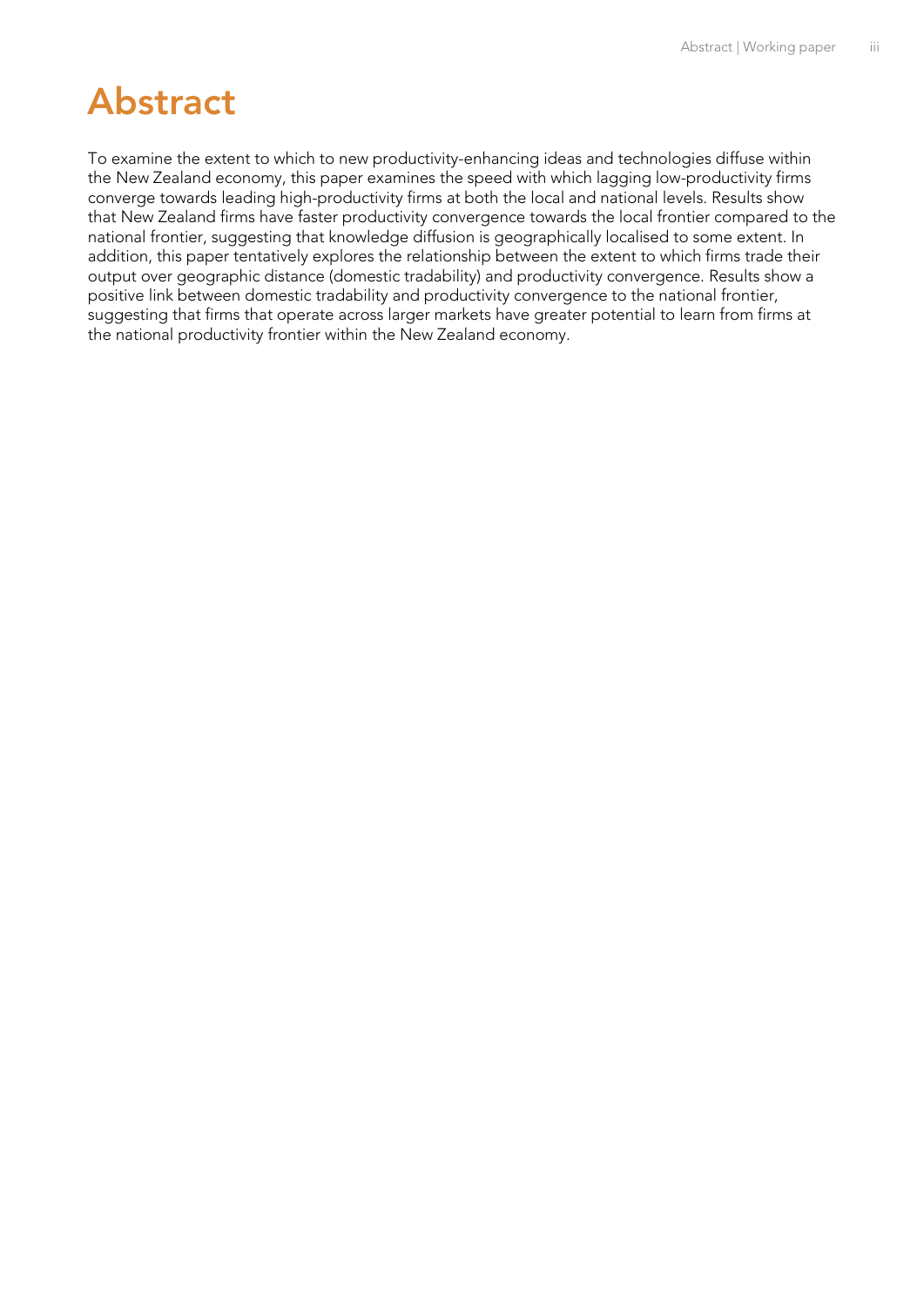### <span id="page-2-0"></span>**Abstract**

To examine the extent to which to new productivity-enhancing ideas and technologies diffuse within the New Zealand economy, this paper examines the speed with which lagging low-productivity firms converge towards leading high-productivity firms at both the local and national levels. Results show that New Zealand firms have faster productivity convergence towards the local frontier compared to the national frontier, suggesting that knowledge diffusion is geographically localised to some extent. In addition, this paper tentatively explores the relationship between the extent to which firms trade their output over geographic distance (domestic tradability) and productivity convergence. Results show a positive link between domestic tradability and productivity convergence to the national frontier, suggesting that firms that operate across larger markets have greater potential to learn from firms at the national productivity frontier within the New Zealand economy.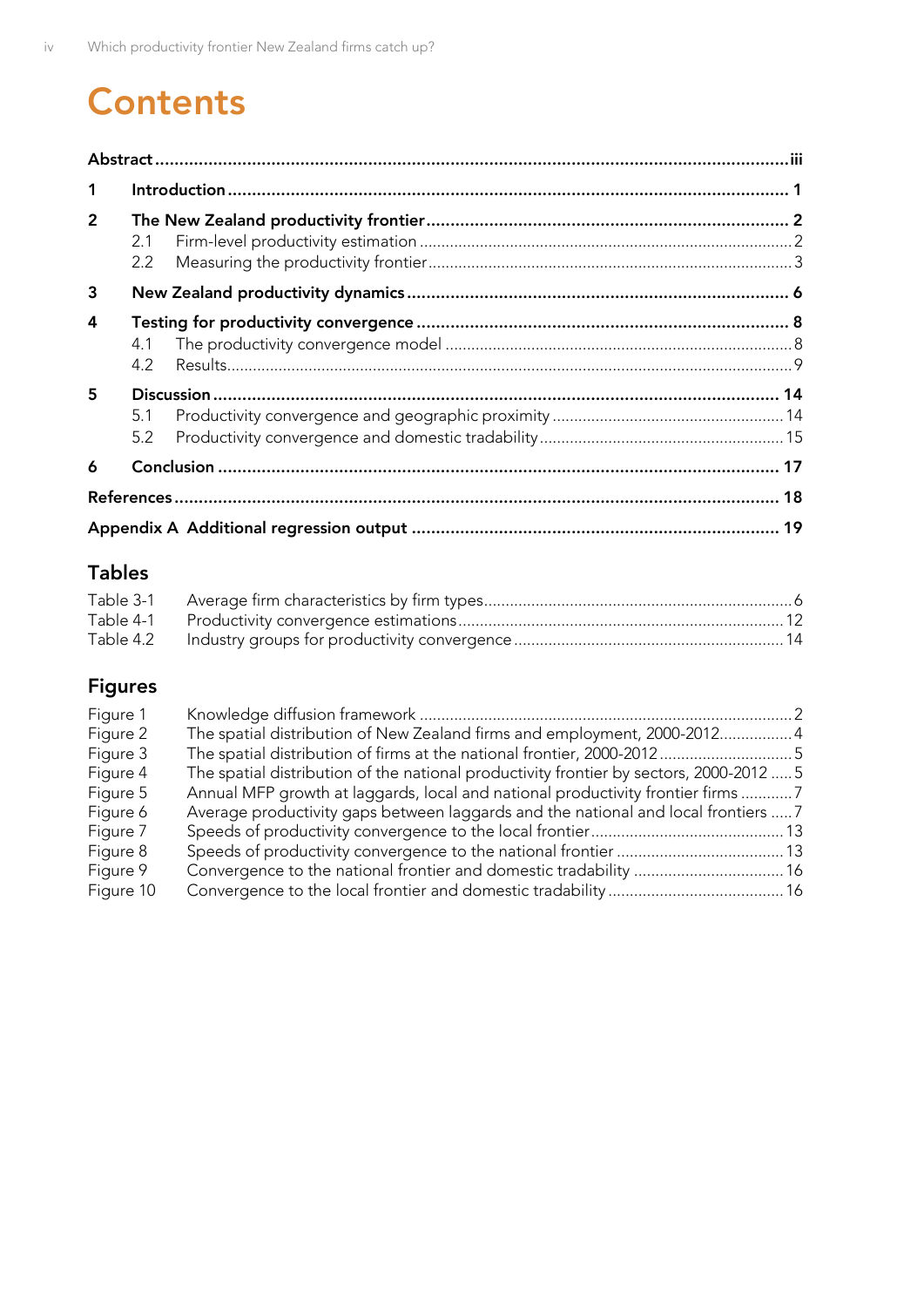# **Contents**

| $\mathbf 1$    |            |  |
|----------------|------------|--|
| $\overline{2}$ | 2.1<br>2.2 |  |
| 3              |            |  |
| 4              | 4.1<br>4.2 |  |
| 5              | 5.1<br>5.2 |  |
| 6              |            |  |
|                |            |  |
|                |            |  |

### **Tables**

### **Figures**

| Figure 1  |                                                                                         |  |
|-----------|-----------------------------------------------------------------------------------------|--|
| Figure 2  | The spatial distribution of New Zealand firms and employment, 2000-2012 4               |  |
| Figure 3  |                                                                                         |  |
| Figure 4  | The spatial distribution of the national productivity frontier by sectors, 2000-2012  5 |  |
| Figure 5  | Annual MFP growth at laggards, local and national productivity frontier firms 7         |  |
| Figure 6  | Average productivity gaps between laggards and the national and local frontiers  7      |  |
| Figure 7  |                                                                                         |  |
| Figure 8  |                                                                                         |  |
| Figure 9  |                                                                                         |  |
| Figure 10 |                                                                                         |  |
|           |                                                                                         |  |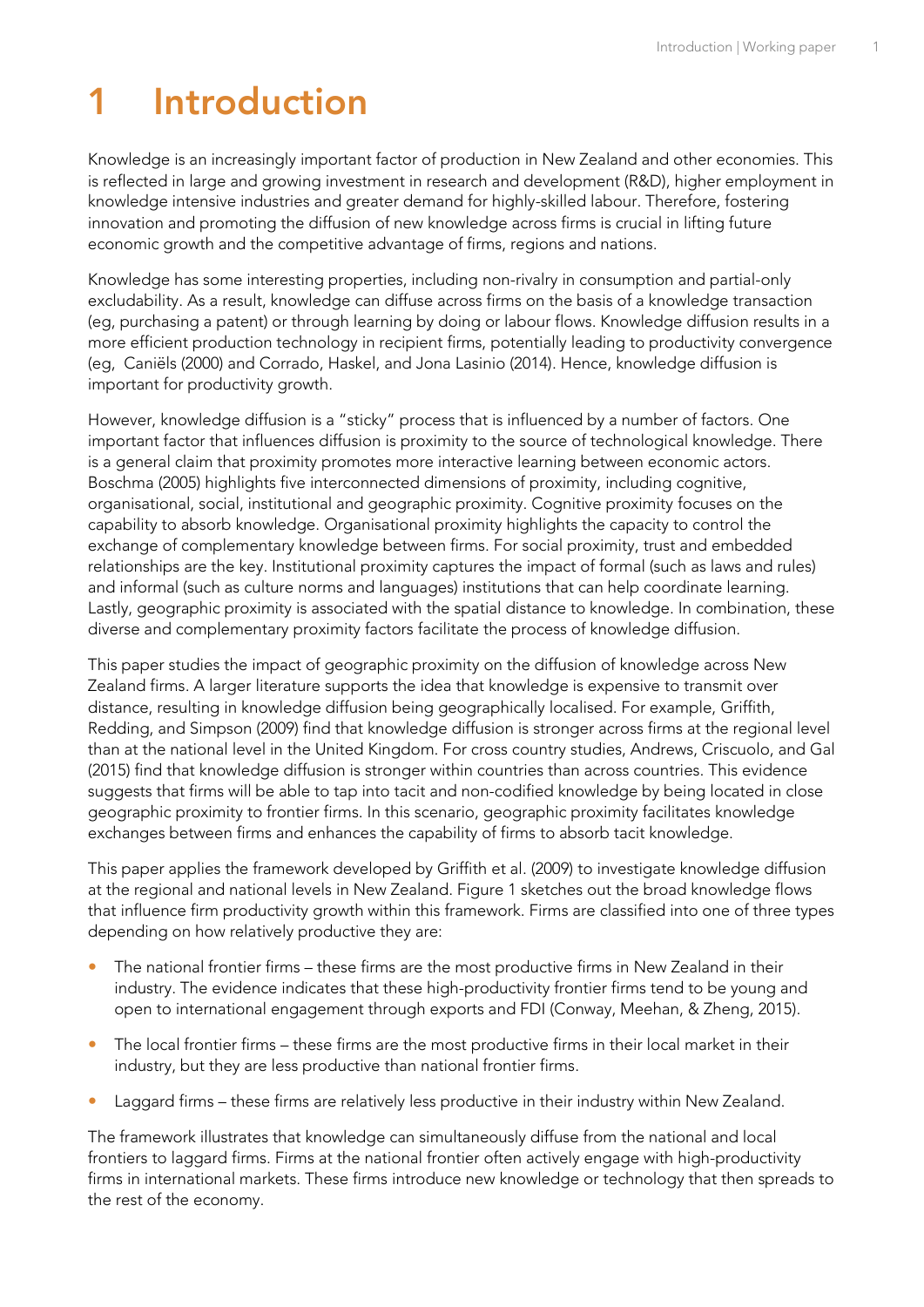# <span id="page-4-0"></span>**1 Introduction**

Knowledge is an increasingly important factor of production in New Zealand and other economies. This is reflected in large and growing investment in research and development (R&D), higher employment in knowledge intensive industries and greater demand for highly-skilled labour. Therefore, fostering innovation and promoting the diffusion of new knowledge across firms is crucial in lifting future economic growth and the competitive advantage of firms, regions and nations.

Knowledge has some interesting properties, including non-rivalry in consumption and partial-only excludability. As a result, knowledge can diffuse across firms on the basis of a knowledge transaction (eg, purchasing a patent) or through learning by doing or labour flows. Knowledge diffusion results in a more efficient production technology in recipient firms, potentially leading to productivity convergence (eg, Caniëls (2000) and Corrado, Haskel, and Jona Lasinio (2014). Hence, knowledge diffusion is important for productivity growth.

However, knowledge diffusion is a "sticky" process that is influenced by a number of factors. One important factor that influences diffusion is proximity to the source of technological knowledge. There is a general claim that proximity promotes more interactive learning between economic actors. Boschma (2005) highlights five interconnected dimensions of proximity, including cognitive, organisational, social, institutional and geographic proximity. Cognitive proximity focuses on the capability to absorb knowledge. Organisational proximity highlights the capacity to control the exchange of complementary knowledge between firms. For social proximity, trust and embedded relationships are the key. Institutional proximity captures the impact of formal (such as laws and rules) and informal (such as culture norms and languages) institutions that can help coordinate learning. Lastly, geographic proximity is associated with the spatial distance to knowledge. In combination, these diverse and complementary proximity factors facilitate the process of knowledge diffusion.

This paper studies the impact of geographic proximity on the diffusion of knowledge across New Zealand firms. A larger literature supports the idea that knowledge is expensive to transmit over distance, resulting in knowledge diffusion being geographically localised. For example, Griffith, Redding, and Simpson (2009) find that knowledge diffusion is stronger across firms at the regional level than at the national level in the United Kingdom. For cross country studies, Andrews, Criscuolo, and Gal (2015) find that knowledge diffusion is stronger within countries than across countries. This evidence suggests that firms will be able to tap into tacit and non-codified knowledge by being located in close geographic proximity to frontier firms. In this scenario, geographic proximity facilitates knowledge exchanges between firms and enhances the capability of firms to absorb tacit knowledge.

This paper applies the framework developed by Griffith et al. (2009) to investigate knowledge diffusion at the regional and national levels in New Zealand. [Figure 1](#page-5-2) sketches out the broad knowledge flows that influence firm productivity growth within this framework. Firms are classified into one of three types depending on how relatively productive they are:

- The national frontier firms these firms are the most productive firms in New Zealand in their industry. The evidence indicates that these high-productivity frontier firms tend to be young and open to international engagement through exports and FDI (Conway, Meehan, & Zheng, 2015).
- The local frontier firms these firms are the most productive firms in their local market in their industry, but they are less productive than national frontier firms.
- Laggard firms these firms are relatively less productive in their industry within New Zealand.

The framework illustrates that knowledge can simultaneously diffuse from the national and local frontiers to laggard firms. Firms at the national frontier often actively engage with high-productivity firms in international markets. These firms introduce new knowledge or technology that then spreads to the rest of the economy.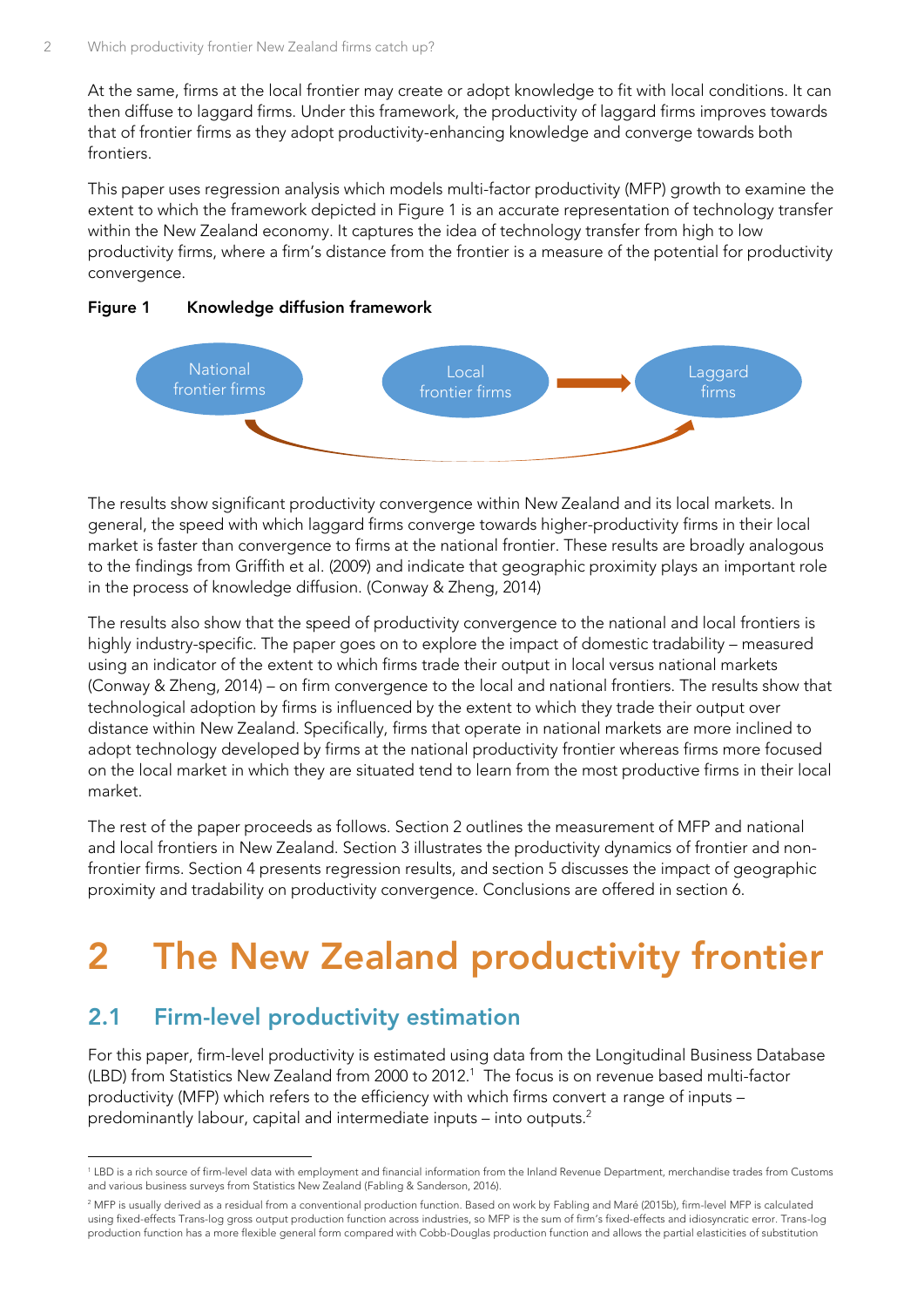At the same, firms at the local frontier may create or adopt knowledge to fit with local conditions. It can then diffuse to laggard firms. Under this framework, the productivity of laggard firms improves towards that of frontier firms as they adopt productivity-enhancing knowledge and converge towards both frontiers.

This paper uses regression analysis which models multi-factor productivity (MFP) growth to examine the extent to which the framework depicted in [Figure 1](#page-5-2) is an accurate representation of technology transfer within the New Zealand economy. It captures the idea of technology transfer from high to low productivity firms, where a firm's distance from the frontier is a measure of the potential for productivity convergence.

<span id="page-5-2"></span>



The results show significant productivity convergence within New Zealand and its local markets. In general, the speed with which laggard firms converge towards higher-productivity firms in their local market is faster than convergence to firms at the national frontier. These results are broadly analogous to the findings from Griffith et al. (2009) and indicate that geographic proximity plays an important role in the process of knowledge diffusion. (Conway & Zheng, 2014)

The results also show that the speed of productivity convergence to the national and local frontiers is highly industry-specific. The paper goes on to explore the impact of domestic tradability – measured using an indicator of the extent to which firms trade their output in local versus national markets (Conway & Zheng, 2014) – on firm convergence to the local and national frontiers. The results show that technological adoption by firms is influenced by the extent to which they trade their output over distance within New Zealand. Specifically, firms that operate in national markets are more inclined to adopt technology developed by firms at the national productivity frontier whereas firms more focused on the local market in which they are situated tend to learn from the most productive firms in their local market.

The rest of the paper proceeds as follows. Section 2 outlines the measurement of MFP and national and local frontiers in New Zealand. Section 3 illustrates the productivity dynamics of frontier and nonfrontier firms. Section 4 presents regression results, and section 5 discusses the impact of geographic proximity and tradability on productivity convergence. Conclusions are offered in section 6.

# <span id="page-5-0"></span>**2 The New Zealand productivity frontier**

### <span id="page-5-1"></span>**2.1 Firm-level productivity estimation**

For this paper, firm-level productivity is estimated using data from the Longitudinal Business Database (LBD) from Statistics New Zealand from 2000 to 2012.<sup>1</sup> The focus is on revenue based multi-factor productivity (MFP) which refers to the efficiency with which firms convert a range of inputs – predominantly labour, capital and intermediate inputs – into outputs.<sup>2</sup>

<sup>-</sup><sup>1</sup> LBD is a rich source of firm-level data with employment and financial information from the Inland Revenue Department, merchandise trades from Customs and various business surveys from Statistics New Zealand (Fabling & Sanderson, 2016).

<sup>&</sup>lt;sup>2</sup> MFP is usually derived as a residual from a conventional production function. Based on work by Fabling and Maré (2015b), firm-level MFP is calculated using fixed-effects Trans-log gross output production function across industries, so MFP is the sum of firm's fixed-effects and idiosyncratic error. Trans-log production function has a more flexible general form compared with Cobb-Douglas production function and allows the partial elasticities of substitution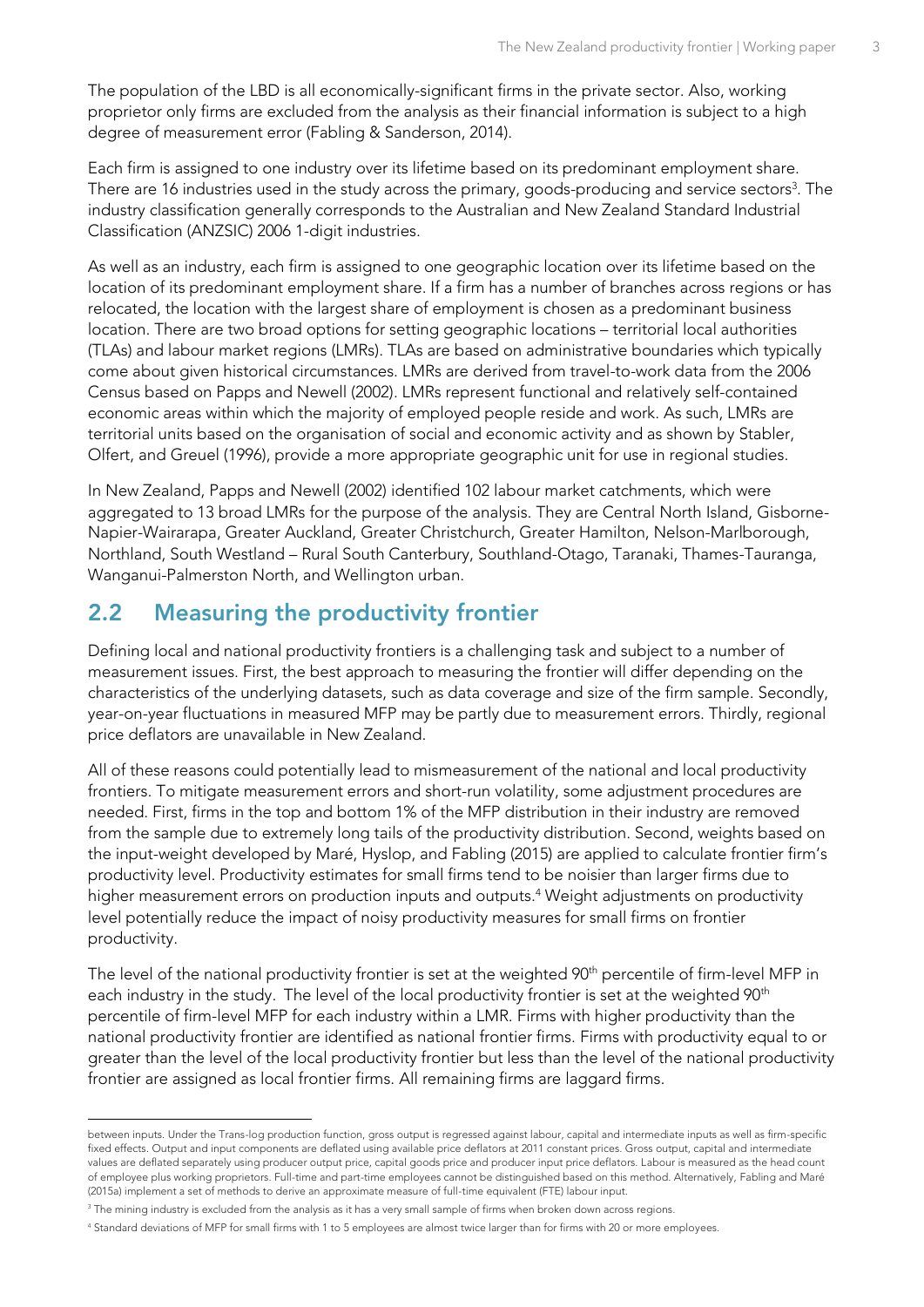The population of the LBD is all economically-significant firms in the private sector. Also, working proprietor only firms are excluded from the analysis as their financial information is subject to a high degree of measurement error (Fabling & Sanderson, 2014).

Each firm is assigned to one industry over its lifetime based on its predominant employment share. There are 16 industries used in the study across the primary, goods-producing and service sectors $^3$ . The industry classification generally corresponds to the Australian and New Zealand Standard Industrial Classification (ANZSIC) 2006 1-digit industries.

As well as an industry, each firm is assigned to one geographic location over its lifetime based on the location of its predominant employment share. If a firm has a number of branches across regions or has relocated, the location with the largest share of employment is chosen as a predominant business location. There are two broad options for setting geographic locations – territorial local authorities (TLAs) and labour market regions (LMRs). TLAs are based on administrative boundaries which typically come about given historical circumstances. LMRs are derived from travel-to-work data from the 2006 Census based on Papps and Newell (2002). LMRs represent functional and relatively self-contained economic areas within which the majority of employed people reside and work. As such, LMRs are territorial units based on the organisation of social and economic activity and as shown by Stabler, Olfert, and Greuel (1996), provide a more appropriate geographic unit for use in regional studies.

In New Zealand, Papps and Newell (2002) identified 102 labour market catchments, which were aggregated to 13 broad LMRs for the purpose of the analysis. They are Central North Island, Gisborne-Napier-Wairarapa, Greater Auckland, Greater Christchurch, Greater Hamilton, Nelson-Marlborough, Northland, South Westland – Rural South Canterbury, Southland-Otago, Taranaki, Thames-Tauranga, Wanganui-Palmerston North, and Wellington urban.

### <span id="page-6-0"></span>**2.2 Measuring the productivity frontier**

Defining local and national productivity frontiers is a challenging task and subject to a number of measurement issues. First, the best approach to measuring the frontier will differ depending on the characteristics of the underlying datasets, such as data coverage and size of the firm sample. Secondly, year-on-year fluctuations in measured MFP may be partly due to measurement errors. Thirdly, regional price deflators are unavailable in New Zealand.

All of these reasons could potentially lead to mismeasurement of the national and local productivity frontiers. To mitigate measurement errors and short-run volatility, some adjustment procedures are needed. First, firms in the top and bottom 1% of the MFP distribution in their industry are removed from the sample due to extremely long tails of the productivity distribution. Second, weights based on the input-weight developed by Maré, Hyslop, and Fabling (2015) are applied to calculate frontier firm's productivity level. Productivity estimates for small firms tend to be noisier than larger firms due to higher measurement errors on production inputs and outputs.<sup>4</sup> Weight adjustments on productivity level potentially reduce the impact of noisy productivity measures for small firms on frontier productivity.

The level of the national productivity frontier is set at the weighted 90<sup>th</sup> percentile of firm-level MFP in each industry in the study. The level of the local productivity frontier is set at the weighted 90<sup>th</sup> percentile of firm-level MFP for each industry within a LMR. Firms with higher productivity than the national productivity frontier are identified as national frontier firms. Firms with productivity equal to or greater than the level of the local productivity frontier but less than the level of the national productivity frontier are assigned as local frontier firms. All remaining firms are laggard firms.

-

between inputs. Under the Trans-log production function, gross output is regressed against labour, capital and intermediate inputs as well as firm-specific fixed effects. Output and input components are deflated using available price deflators at 2011 constant prices. Gross output, capital and intermediate values are deflated separately using producer output price, capital goods price and producer input price deflators. Labour is measured as the head count of employee plus working proprietors. Full-time and part-time employees cannot be distinguished based on this method. Alternatively, Fabling and Maré (2015a) implement a set of methods to derive an approximate measure of full-time equivalent (FTE) labour input.

<sup>&</sup>lt;sup>3</sup> The mining industry is excluded from the analysis as it has a very small sample of firms when broken down across regions.

<sup>4</sup> Standard deviations of MFP for small firms with 1 to 5 employees are almost twice larger than for firms with 20 or more employees.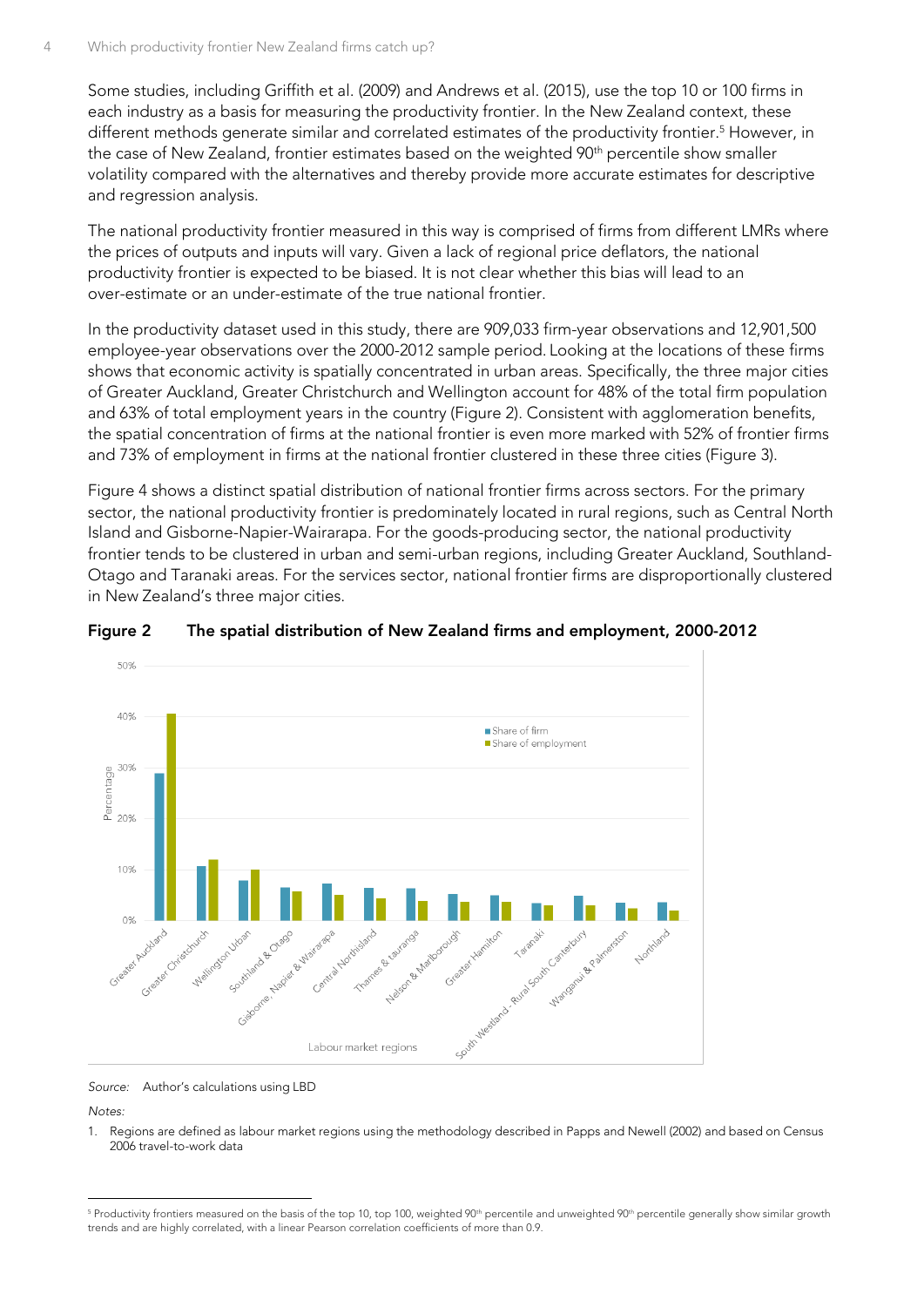Some studies, including Griffith et al. (2009) and Andrews et al. (2015), use the top 10 or 100 firms in each industry as a basis for measuring the productivity frontier. In the New Zealand context, these different methods generate similar and correlated estimates of the productivity frontier. <sup>5</sup> However, in the case of New Zealand, frontier estimates based on the weighted 90<sup>th</sup> percentile show smaller volatility compared with the alternatives and thereby provide more accurate estimates for descriptive and regression analysis.

The national productivity frontier measured in this way is comprised of firms from different LMRs where the prices of outputs and inputs will vary. Given a lack of regional price deflators, the national productivity frontier is expected to be biased. It is not clear whether this bias will lead to an over-estimate or an under-estimate of the true national frontier.

In the productivity dataset used in this study, there are 909,033 firm-year observations and 12,901,500 employee-year observations over the 2000-2012 sample period. Looking at the locations of these firms shows that economic activity is spatially concentrated in urban areas. Specifically, the three major cities of Greater Auckland, Greater Christchurch and Wellington account for 48% of the total firm population and 63% of total employment years in the country [\(Figure 2\)](#page-7-0). Consistent with agglomeration benefits, the spatial concentration of firms at the national frontier is even more marked with 52% of frontier firms and 73% of employment in firms at the national frontier clustered in these three cities [\(Figure 3\)](#page-8-0).

[Figure 4](#page-8-1) shows a distinct spatial distribution of national frontier firms across sectors. For the primary sector, the national productivity frontier is predominately located in rural regions, such as Central North Island and Gisborne-Napier-Wairarapa. For the goods-producing sector, the national productivity frontier tends to be clustered in urban and semi-urban regions, including Greater Auckland, Southland-Otago and Taranaki areas. For the services sector, national frontier firms are disproportionally clustered in New Zealand's three major cities.



#### <span id="page-7-0"></span>**Figure 2 The spatial distribution of New Zealand firms and employment, 2000-2012**

*Source:* Author's calculations using LBD

*Notes:*

1. Regions are defined as labour market regions using the methodology described in Papps and Newell (2002) and based on Census 2006 travel-to-work data

<sup>-</sup><sup>5</sup> Productivity frontiers measured on the basis of the top 10, top 100, weighted 90<sup>th</sup> percentile and unweighted 90<sup>th</sup> percentile generally show similar growth trends and are highly correlated, with a linear Pearson correlation coefficients of more than 0.9.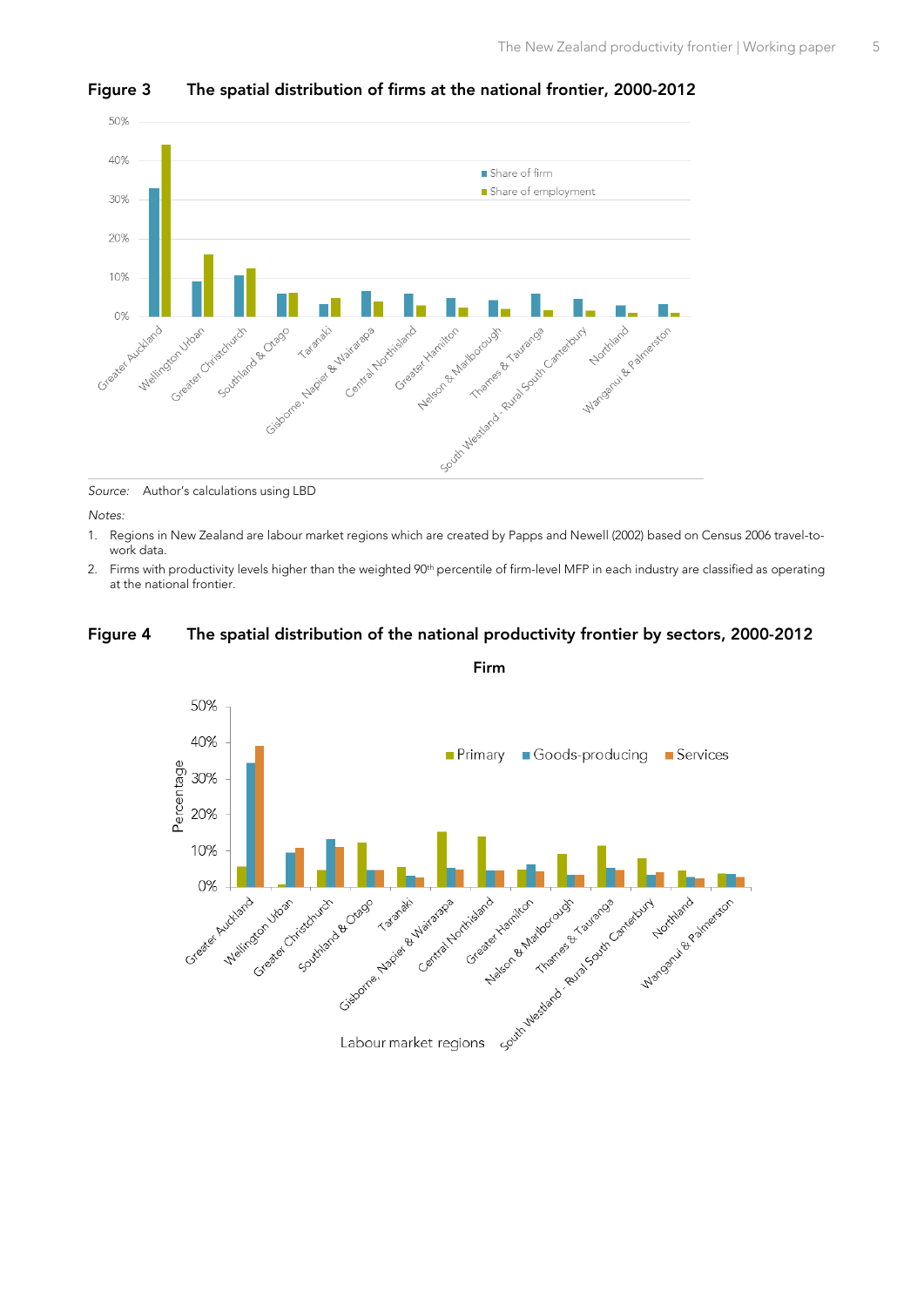

#### <span id="page-8-0"></span>**Figure 3 The spatial distribution of firms at the national frontier, 2000-2012**

*Source:* Author's calculations using LBD

*Notes:*

- 1. Regions in New Zealand are labour market regions which are created by Papps and Newell (2002) based on Census 2006 travel-towork data.
- 2. Firms with productivity levels higher than the weighted 90<sup>th</sup> percentile of firm-level MFP in each industry are classified as operating at the national frontier.

#### <span id="page-8-1"></span>**Figure 4 The spatial distribution of the national productivity frontier by sectors, 2000-2012**



**Firm**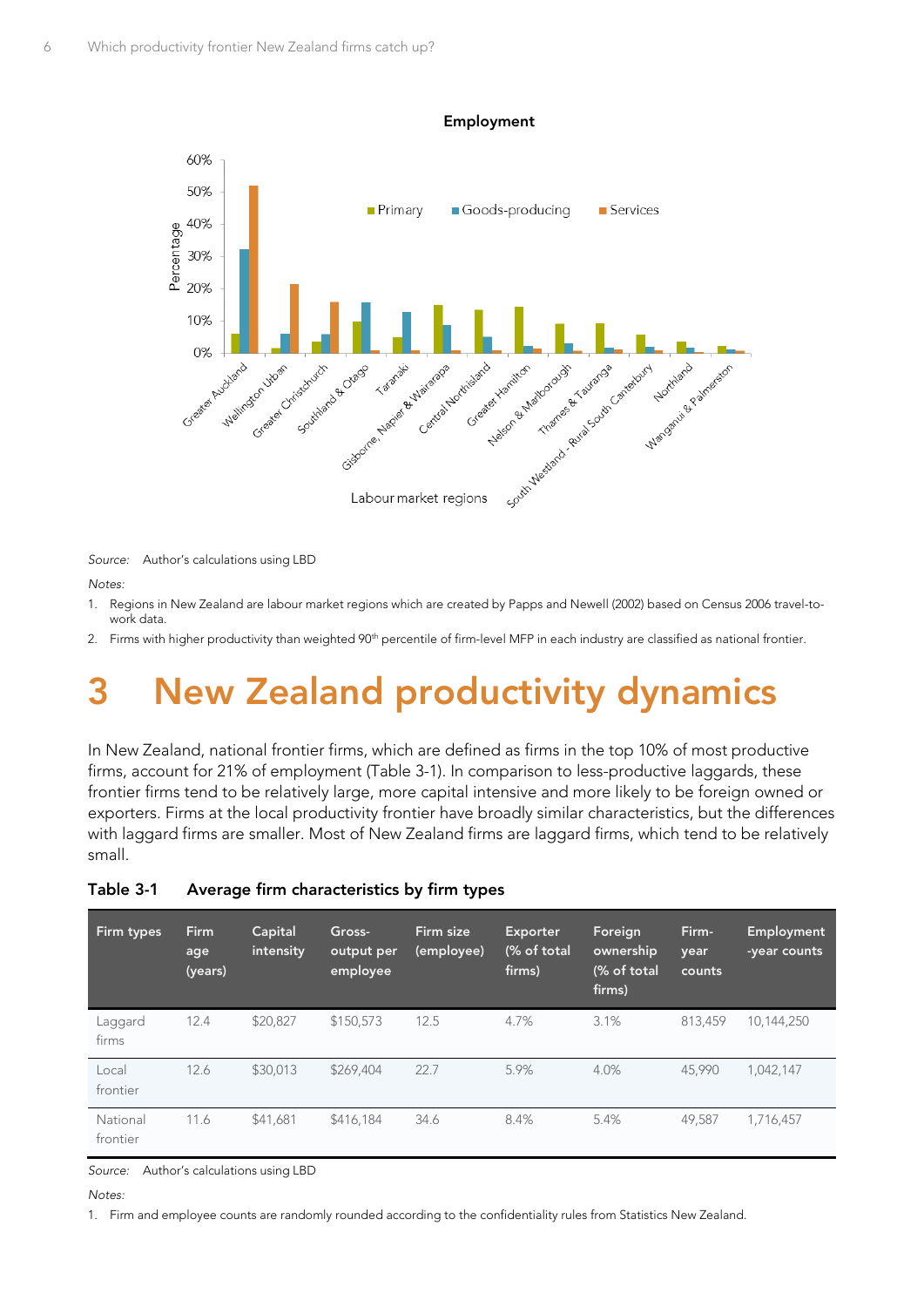

*Source:* Author's calculations using LBD

*Notes:*

- 1. Regions in New Zealand are labour market regions which are created by Papps and Newell (2002) based on Census 2006 travel-towork data.
- 2. Firms with higher productivity than weighted 90<sup>th</sup> percentile of firm-level MFP in each industry are classified as national frontier.

# <span id="page-9-0"></span>**3 New Zealand productivity dynamics**

In New Zealand, national frontier firms, which are defined as firms in the top 10% of most productive firms, account for 21% of employment [\(Table 3-1\)](#page-9-1). In comparison to less-productive laggards, these frontier firms tend to be relatively large, more capital intensive and more likely to be foreign owned or exporters. Firms at the local productivity frontier have broadly similar characteristics, but the differences with laggard firms are smaller. Most of New Zealand firms are laggard firms, which tend to be relatively small.

| Firm types           | <b>Firm</b><br>age<br>(years) | Capital<br>intensity | Gross-<br>output per<br>employee | Firm size<br>(employee) | <b>Exporter</b><br>(% of total<br>firms) | Foreign<br>ownership<br>(% of total<br>firms) | Firm-<br>year<br>counts | Employment<br>-year counts |
|----------------------|-------------------------------|----------------------|----------------------------------|-------------------------|------------------------------------------|-----------------------------------------------|-------------------------|----------------------------|
| Laggard<br>firms     | 12.4                          | \$20,827             | \$150,573                        | 12.5                    | 4.7%                                     | 3.1%                                          | 813,459                 | 10,144,250                 |
| Local<br>frontier    | 12.6                          | \$30,013             | \$269,404                        | 22.7                    | 5.9%                                     | 4.0%                                          | 45.990                  | 1.042.147                  |
| National<br>frontier | 11.6                          | \$41,681             | \$416.184                        | 34.6                    | 8.4%                                     | 5.4%                                          | 49.587                  | 1,716,457                  |

#### <span id="page-9-1"></span>**Table 3-1 Average firm characteristics by firm types**

*Source:* Author's calculations using LBD

#### *Notes:*

1. Firm and employee counts are randomly rounded according to the confidentiality rules from Statistics New Zealand.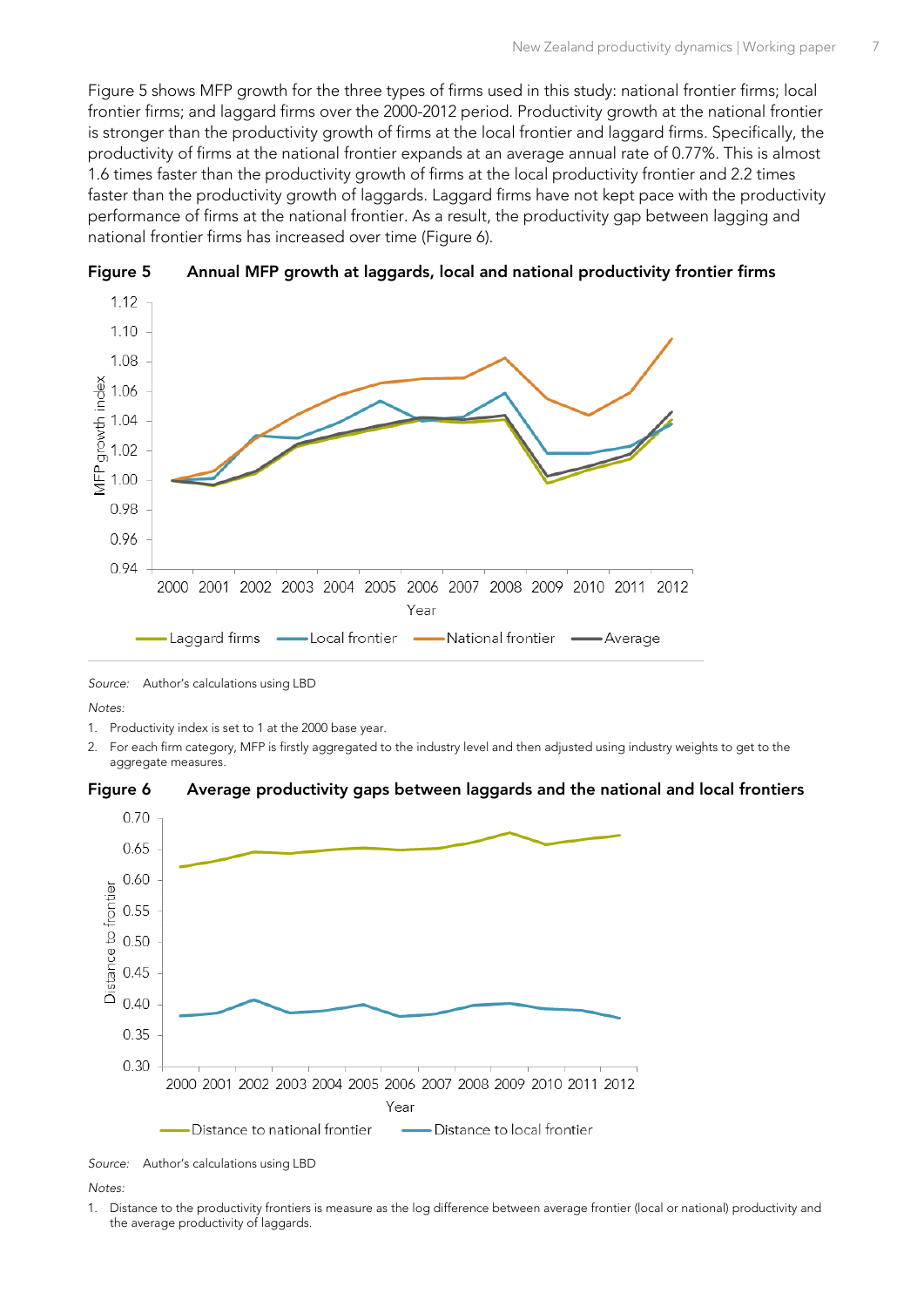[Figure 5](#page-10-0) shows MFP growth for the three types of firms used in this study: national frontier firms; local frontier firms; and laggard firms over the 2000-2012 period. Productivity growth at the national frontier is stronger than the productivity growth of firms at the local frontier and laggard firms. Specifically, the productivity of firms at the national frontier expands at an average annual rate of 0.77%. This is almost 1.6 times faster than the productivity growth of firms at the local productivity frontier and 2.2 times faster than the productivity growth of laggards. Laggard firms have not kept pace with the productivity performance of firms at the national frontier. As a result, the productivity gap between lagging and national frontier firms has increased over time [\(Figure 6\)](#page-10-1).



<span id="page-10-0"></span>

*Source:* Author's calculations using LBD

*Notes:*

- 1. Productivity index is set to 1 at the 2000 base year.
- 2. For each firm category, MFP is firstly aggregated to the industry level and then adjusted using industry weights to get to the aggregate measures.

<span id="page-10-1"></span>



*Source:* Author's calculations using LBD

*Notes:*

1. Distance to the productivity frontiers is measure as the log difference between average frontier (local or national) productivity and the average productivity of laggards.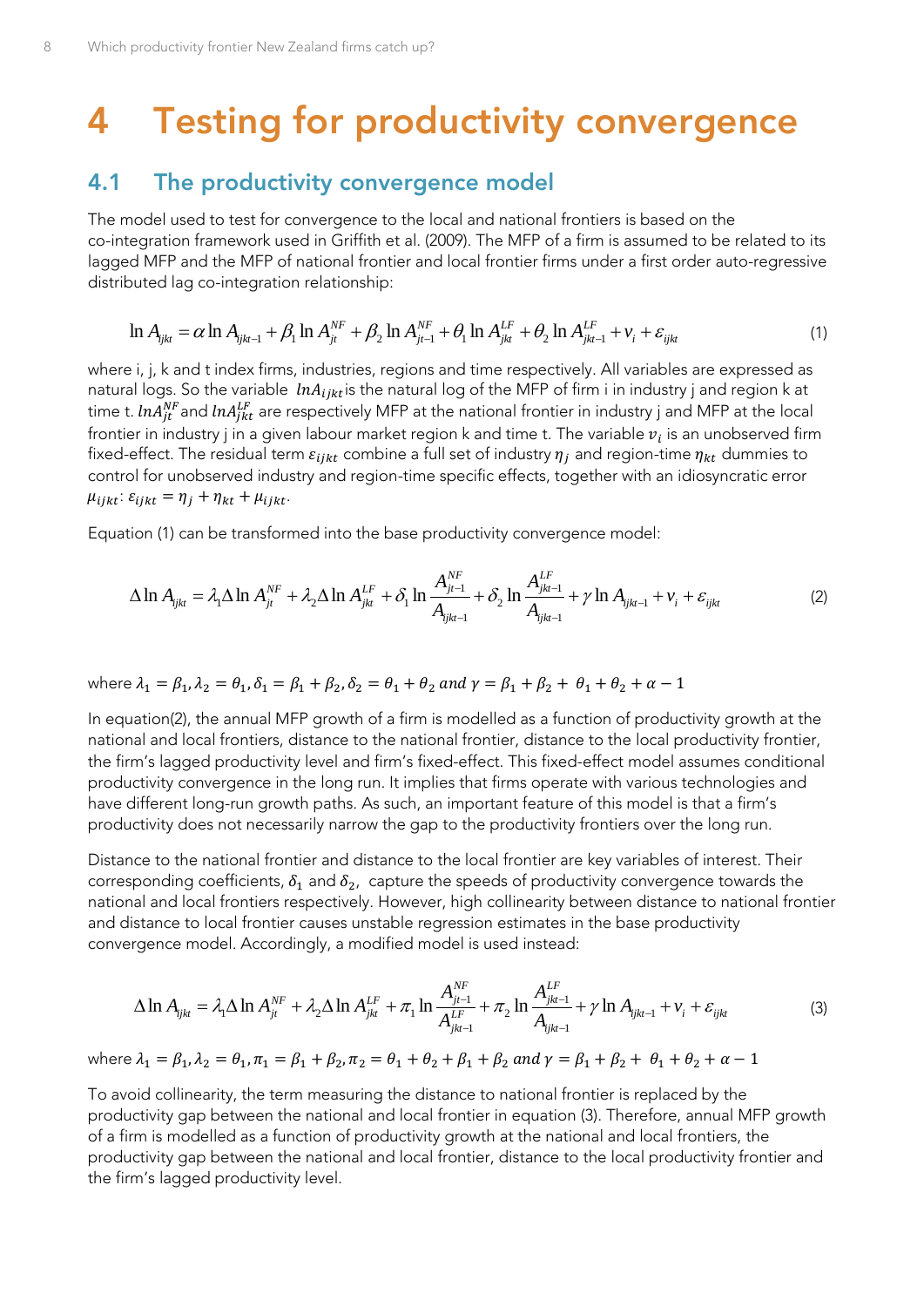# <span id="page-11-0"></span>**4 Testing for productivity convergence**

### <span id="page-11-1"></span>**4.1 The productivity convergence model**

The model used to test for convergence to the local and national frontiers is based on the co-integration framework used in Griffith et al. (2009). The MFP of a firm is assumed to be related to its lagged MFP and the MFP of national frontier and local frontier firms under a first order auto-regressive distributed lag co-integration relationship:

<span id="page-11-2"></span>
$$
\ln A_{ijk} = \alpha \ln A_{ijk-1} + \beta_1 \ln A_{jt}^{NF} + \beta_2 \ln A_{jt-1}^{NF} + \theta_1 \ln A_{jkt}^{LF} + \theta_2 \ln A_{jkt-1}^{LF} + v_i + \varepsilon_{ijkt}
$$
\n(1)

where i, j, k and t index firms, industries, regions and time respectively. All variables are expressed as natural logs. So the variable  $\;ln A_{i j k t}$ is the natural log of the MFP of firm i in industry j and region k at time t.  $ln A_{jt}^{NF}$  and  $ln A_{jkt}^{LF}$  are respectively MFP at the national frontier in industry j and MFP at the local frontier in industry j in a given labour market region k and time t. The variable  $v_i$  is an unobserved firm fixed-effect. The residual term  $\varepsilon_{i i k t}$  combine a full set of industry  $\eta_i$  and region-time  $\eta_{k t}$  dummies to control for unobserved industry and region-time specific effects, together with an idiosyncratic error  $\mu_{i j k t}$ :  $\varepsilon_{i j k t} = \eta_j + \eta_{k t} + \mu_{i j k t}$ .

<span id="page-11-3"></span>Equation (1) can be transformed into the base productivity convergence model:  
\n
$$
\Delta \ln A_{ijkl} = \lambda_1 \Delta \ln A_{jl}^{NF} + \lambda_2 \Delta \ln A_{jkt}^{LF} + \delta_1 \ln \frac{A_{jl-1}^{NF}}{A_{ijkt-1}} + \delta_2 \ln \frac{A_{jkt-1}^{LF}}{A_{ijkt-1}} + \gamma \ln A_{ijkt-1} + v_i + \varepsilon_{ijkt}
$$
\n(2)

where 
$$
\lambda_1 = \beta_1, \lambda_2 = \theta_1, \delta_1 = \beta_1 + \beta_2, \delta_2 = \theta_1 + \theta_2
$$
 and  $\gamma = \beta_1 + \beta_2 + \theta_1 + \theta_2 + \alpha - 1$ 

In equatio[n\(2\)](#page-11-3), the annual MFP growth of a firm is modelled as a function of productivity growth at the national and local frontiers, distance to the national frontier, distance to the local productivity frontier, the firm's lagged productivity level and firm's fixed-effect. This fixed-effect model assumes conditional productivity convergence in the long run. It implies that firms operate with various technologies and have different long-run growth paths. As such, an important feature of this model is that a firm's productivity does not necessarily narrow the gap to the productivity frontiers over the long run.

Distance to the national frontier and distance to the local frontier are key variables of interest. Their corresponding coefficients,  $\delta_1$  and  $\delta_2$ , capture the speeds of productivity convergence towards the national and local frontiers respectively. However, high collinearity between distance to national frontier and distance to local frontier causes unstable regression estimates in the base productivity

<span id="page-11-4"></span>convergence model. Accordingly, a modified model is used instead:  
\n
$$
\Delta \ln A_{ijkl} = \lambda_1 \Delta \ln A_{ji}^{NF} + \lambda_2 \Delta \ln A_{jkt}^{LF} + \pi_1 \ln \frac{A_{jt-1}^{NF}}{A_{jkt-1}^{LF}} + \pi_2 \ln \frac{A_{jkt-1}^{LF}}{A_{jjkt-1}} + \gamma \ln A_{ijkt-1} + \nu_i + \varepsilon_{ijkt}
$$
\n(3)

where  $\lambda_1 = \beta_1, \lambda_2 = \theta_1, \pi_1 = \beta_1 + \beta_2, \pi_2 = \theta_1 + \theta_2 + \beta_1 + \beta_2$  and  $\gamma = \beta_1 + \beta_2 + \theta_1 + \theta_2 + \alpha - 1$ 

To avoid collinearity, the term measuring the distance to national frontier is replaced by the productivity gap between the national and local frontier in equation [\(3\)](#page-11-4). Therefore, annual MFP growth of a firm is modelled as a function of productivity growth at the national and local frontiers, the productivity gap between the national and local frontier, distance to the local productivity frontier and the firm's lagged productivity level.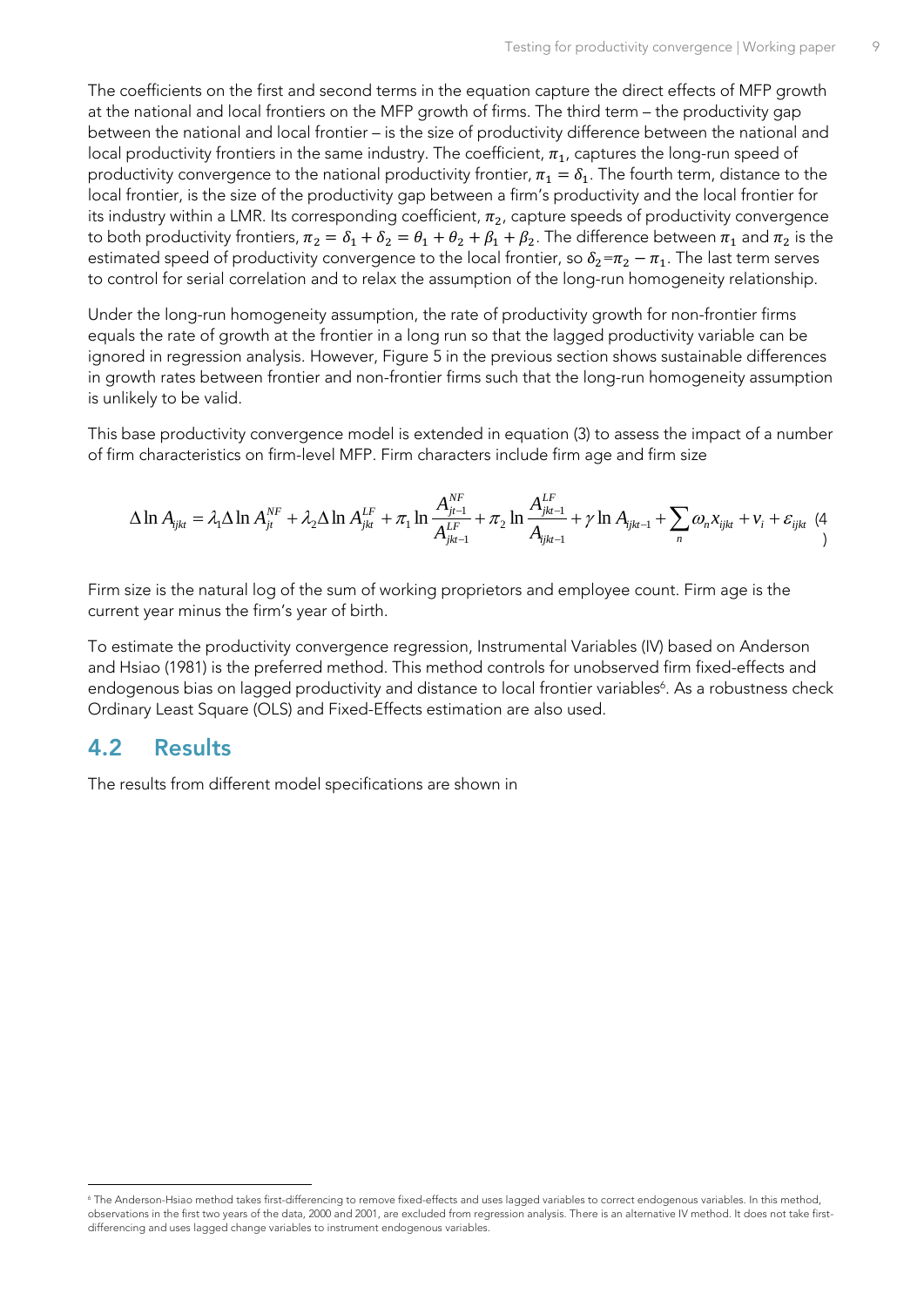The coefficients on the first and second terms in the equation capture the direct effects of MFP growth at the national and local frontiers on the MFP growth of firms. The third term – the productivity gap between the national and local frontier – is the size of productivity difference between the national and local productivity frontiers in the same industry. The coefficient,  $\pi_{1}$ , captures the long-run speed of productivity convergence to the national productivity frontier,  $\pi_1 = \delta_1$ . The fourth term, distance to the local frontier, is the size of the productivity gap between a firm's productivity and the local frontier for its industry within a LMR. Its corresponding coefficient,  $\pi_2$ , capture speeds of productivity convergence to both productivity frontiers,  $\pi_2 = \delta_1 + \delta_2 = \theta_1 + \theta_2 + \beta_1 + \beta_2$ . The difference between  $\pi_1$  and  $\pi_2$  is the estimated speed of productivity convergence to the local frontier, so  $\delta_2 = \pi_2 - \pi_1$ . The last term serves to control for serial correlation and to relax the assumption of the long-run homogeneity relationship.

Under the long-run homogeneity assumption, the rate of productivity growth for non-frontier firms equals the rate of growth at the frontier in a long run so that the lagged productivity variable can be ignored in regression analysis. However, [Figure 5](#page-10-0) in the previous section shows sustainable differences in growth rates between frontier and non-frontier firms such that the long-run homogeneity assumption is unlikely to be valid.

This base productivity convergence model is extended in equation [\(3\)](#page-11-4) to assess the impact of a number

<span id="page-12-1"></span>of firm characteristics on firm-level MFP. Firm characters include firm age and firm size  
\n
$$
\Delta \ln A_{ijkl} = \lambda_1 \Delta \ln A_{jl}^{NF} + \lambda_2 \Delta \ln A_{jkt}^{LF} + \pi_1 \ln \frac{A_{jl-1}^{NF}}{A_{jkt-1}^{LF}} + \pi_2 \ln \frac{A_{jkt-1}^{LF}}{A_{jkt-1}} + \gamma \ln A_{ijkt-1} + \sum_n \omega_n x_{ijkt} + v_i + \varepsilon_{ijkt} \tag{4}
$$

Firm size is the natural log of the sum of working proprietors and employee count. Firm age is the current year minus the firm's year of birth.

To estimate the productivity convergence regression, Instrumental Variables (IV) based on Anderson and Hsiao (1981) is the preferred method. This method controls for unobserved firm fixed-effects and endogenous bias on lagged productivity and distance to local frontier variables<sup>6</sup>. As a robustness check Ordinary Least Square (OLS) and Fixed-Effects estimation are also used.

### <span id="page-12-0"></span>**4.2 Results**

The results from different model specifications are shown in

<sup>-</sup><sup>6</sup> The Anderson-Hsiao method takes first-differencing to remove fixed-effects and uses lagged variables to correct endogenous variables. In this method, observations in the first two years of the data, 2000 and 2001, are excluded from regression analysis. There is an alternative IV method. It does not take firstdifferencing and uses lagged change variables to instrument endogenous variables.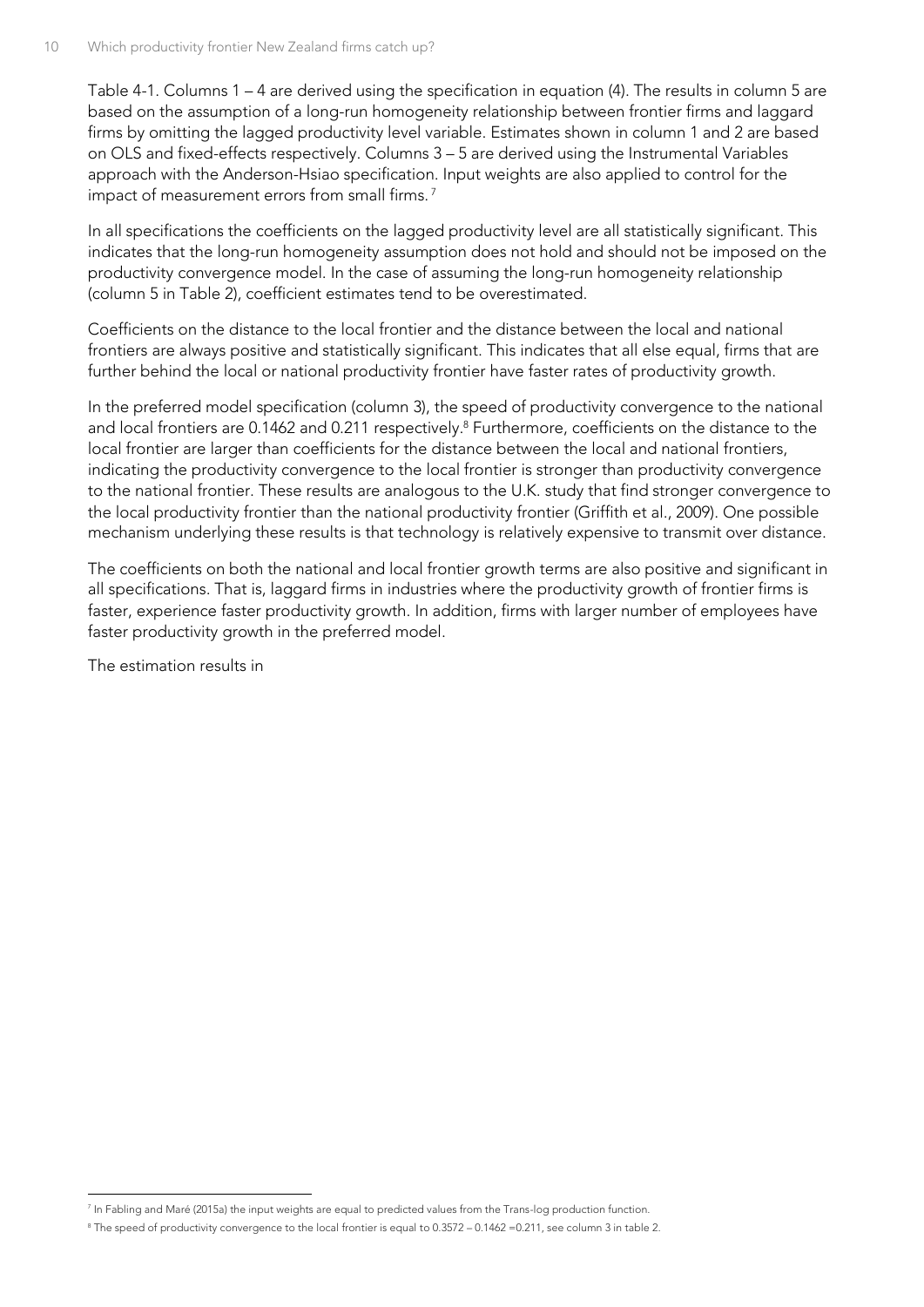[Table 4-1.](#page-14-0) Columns 1 – 4 are derived using the specification in equation [\(4\)](#page-12-1). The results in column 5 are based on the assumption of a long-run homogeneity relationship between frontier firms and laggard firms by omitting the lagged productivity level variable. Estimates shown in column 1 and 2 are based on OLS and fixed-effects respectively. Columns 3 – 5 are derived using the Instrumental Variables approach with the Anderson-Hsiao specification. Input weights are also applied to control for the impact of measurement errors from small firms. <sup>7</sup>

In all specifications the coefficients on the lagged productivity level are all statistically significant. This indicates that the long-run homogeneity assumption does not hold and should not be imposed on the productivity convergence model. In the case of assuming the long-run homogeneity relationship (column 5 in Table 2), coefficient estimates tend to be overestimated.

Coefficients on the distance to the local frontier and the distance between the local and national frontiers are always positive and statistically significant. This indicates that all else equal, firms that are further behind the local or national productivity frontier have faster rates of productivity growth.

In the preferred model specification (column 3), the speed of productivity convergence to the national and local frontiers are 0.1462 and 0.211 respectively. <sup>8</sup> Furthermore, coefficients on the distance to the local frontier are larger than coefficients for the distance between the local and national frontiers, indicating the productivity convergence to the local frontier is stronger than productivity convergence to the national frontier. These results are analogous to the U.K. study that find stronger convergence to the local productivity frontier than the national productivity frontier (Griffith et al., 2009). One possible mechanism underlying these results is that technology is relatively expensive to transmit over distance.

The coefficients on both the national and local frontier growth terms are also positive and significant in all specifications. That is, laggard firms in industries where the productivity growth of frontier firms is faster, experience faster productivity growth. In addition, firms with larger number of employees have faster productivity growth in the preferred model.

The estimation results in

<sup>-</sup>7 In Fabling and Maré (2015a) the input weights are equal to predicted values from the Trans-log production function.

<sup>&</sup>lt;sup>8</sup> The speed of productivity convergence to the local frontier is equal to 0.3572 – 0.1462 = 0.211, see column 3 in table 2.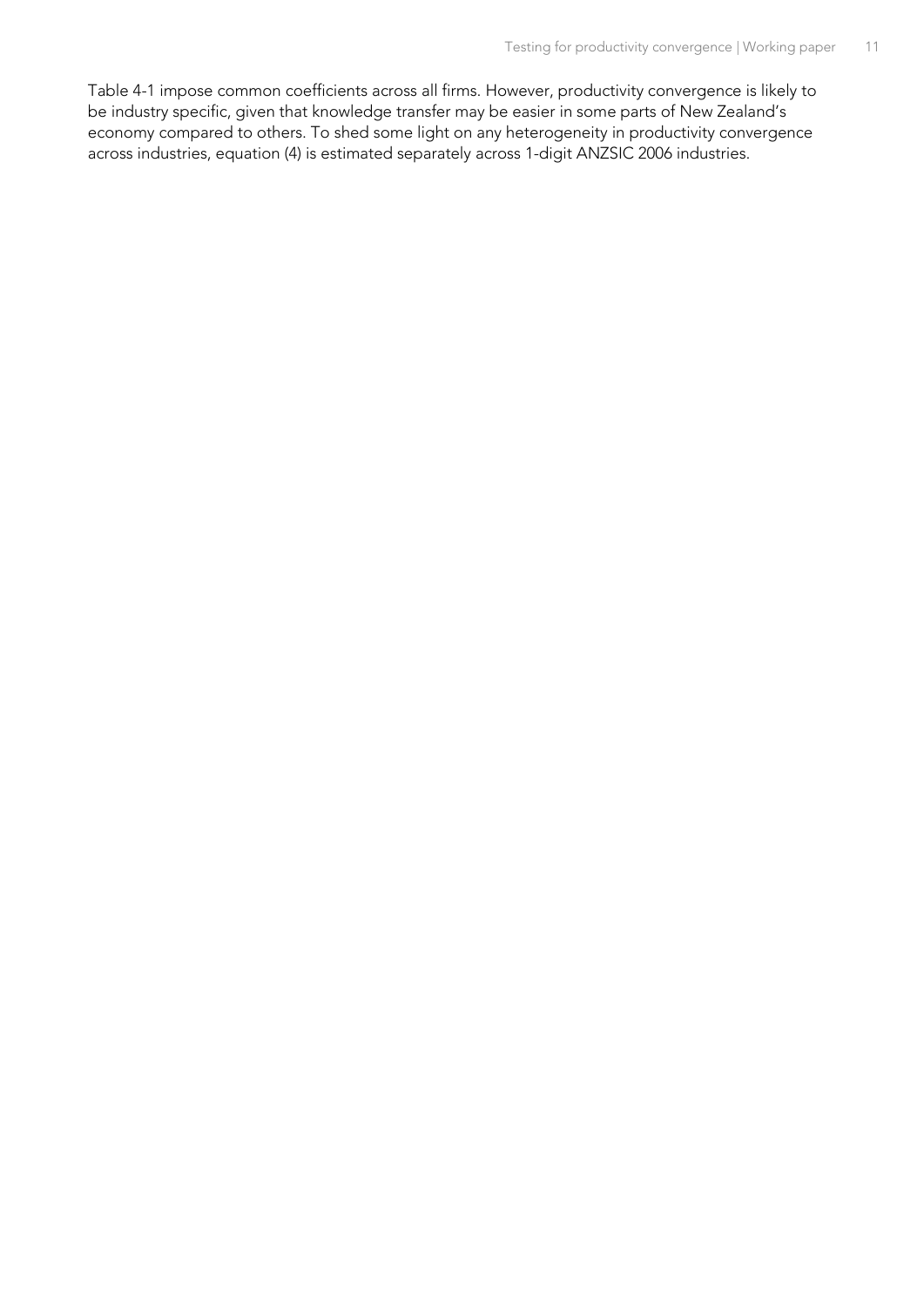<span id="page-14-0"></span>[Table 4-1](#page-14-0) impose common coefficients across all firms. However, productivity convergence is likely to be industry specific, given that knowledge transfer may be easier in some parts of New Zealand's economy compared to others. To shed some light on any heterogeneity in productivity convergence across industries, equation [\(4\)](#page-12-1) is estimated separately across 1-digit ANZSIC 2006 industries.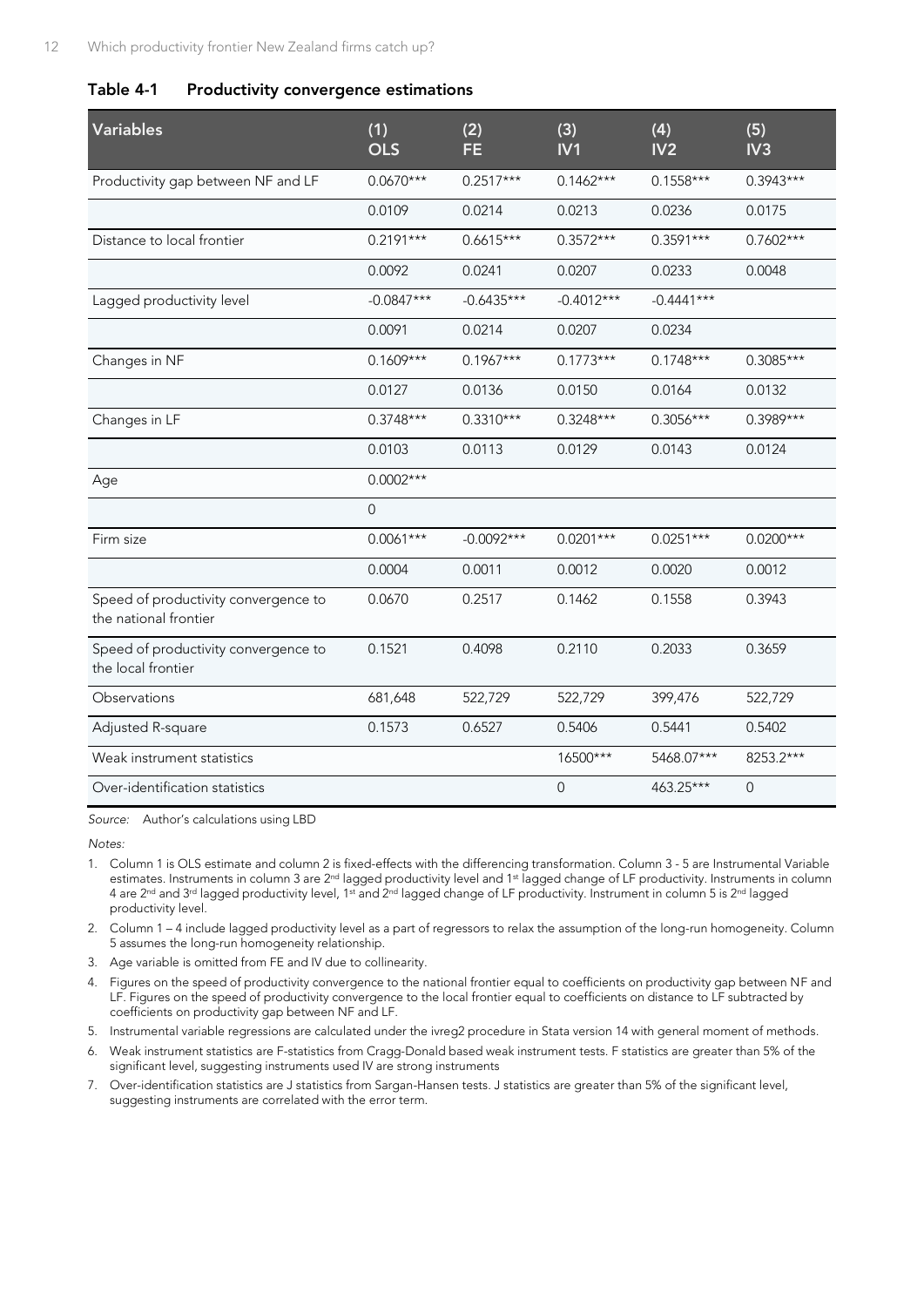#### <span id="page-15-0"></span>**Table 4-1 Productivity convergence estimations**

| <b>Variables</b>                                              | (1)<br><b>OLS</b> | (2)<br><b>FE</b> | (3)<br>IV1   | (4)<br>IV <sub>2</sub> | (5)<br>IV3  |
|---------------------------------------------------------------|-------------------|------------------|--------------|------------------------|-------------|
| Productivity gap between NF and LF                            | $0.0670***$       | $0.2517***$      | $0.1462***$  | $0.1558***$            | $0.3943***$ |
|                                                               | 0.0109            | 0.0214           | 0.0213       | 0.0236                 | 0.0175      |
| Distance to local frontier                                    | $0.2191***$       | $0.6615***$      | $0.3572***$  | $0.3591***$            | $0.7602***$ |
|                                                               | 0.0092            | 0.0241           | 0.0207       | 0.0233                 | 0.0048      |
| Lagged productivity level                                     | $-0.0847***$      | $-0.6435***$     | $-0.4012***$ | $-0.4441***$           |             |
|                                                               | 0.0091            | 0.0214           | 0.0207       | 0.0234                 |             |
| Changes in NF                                                 | $0.1609***$       | $0.1967***$      | $0.1773***$  | $0.1748***$            | $0.3085***$ |
|                                                               | 0.0127            | 0.0136           | 0.0150       | 0.0164                 | 0.0132      |
| Changes in LF                                                 | $0.3748***$       | $0.3310***$      | $0.3248***$  | $0.3056***$            | $0.3989***$ |
|                                                               | 0.0103            | 0.0113           | 0.0129       | 0.0143                 | 0.0124      |
| Age                                                           | $0.0002***$       |                  |              |                        |             |
|                                                               | $\overline{0}$    |                  |              |                        |             |
| Firm size                                                     | $0.0061***$       | $-0.0092***$     | $0.0201***$  | $0.0251***$            | $0.0200***$ |
|                                                               | 0.0004            | 0.0011           | 0.0012       | 0.0020                 | 0.0012      |
| Speed of productivity convergence to<br>the national frontier | 0.0670            | 0.2517           | 0.1462       | 0.1558                 | 0.3943      |
| Speed of productivity convergence to<br>the local frontier    | 0.1521            | 0.4098           | 0.2110       | 0.2033                 | 0.3659      |
| Observations                                                  | 681,648           | 522,729          | 522,729      | 399,476                | 522,729     |
| Adjusted R-square                                             | 0.1573            | 0.6527           | 0.5406       | 0.5441                 | 0.5402      |
| Weak instrument statistics                                    |                   |                  | 16500***     | 5468.07***             | 8253.2***   |
| Over-identification statistics                                |                   |                  | $\mathbf{0}$ | 463.25***              | 0           |

*Source:* Author's calculations using LBD

*Notes:*

- 1. Column 1 is OLS estimate and column 2 is fixed-effects with the differencing transformation. Column 3 5 are Instrumental Variable estimates. Instruments in column 3 are 2<sup>nd</sup> lagged productivity level and 1<sup>st</sup> lagged change of LF productivity. Instruments in column 4 are 2<sup>nd</sup> and 3<sup>rd</sup> lagged productivity level, 1<sup>st</sup> and 2<sup>nd</sup> lagged change of LF productivity. Instrument in column 5 is 2<sup>nd</sup> lagged productivity level.
- 2. Column 1 4 include lagged productivity level as a part of regressors to relax the assumption of the long-run homogeneity. Column 5 assumes the long-run homogeneity relationship.
- 3. Age variable is omitted from FE and IV due to collinearity.
- 4. Figures on the speed of productivity convergence to the national frontier equal to coefficients on productivity gap between NF and LF. Figures on the speed of productivity convergence to the local frontier equal to coefficients on distance to LF subtracted by coefficients on productivity gap between NF and LF.
- 5. Instrumental variable regressions are calculated under the ivreg2 procedure in Stata version 14 with general moment of methods.
- 6. Weak instrument statistics are F-statistics from Cragg-Donald based weak instrument tests. F statistics are greater than 5% of the significant level, suggesting instruments used IV are strong instruments
- 7. Over-identification statistics are J statistics from Sargan-Hansen tests. J statistics are greater than 5% of the significant level, suggesting instruments are correlated with the error term.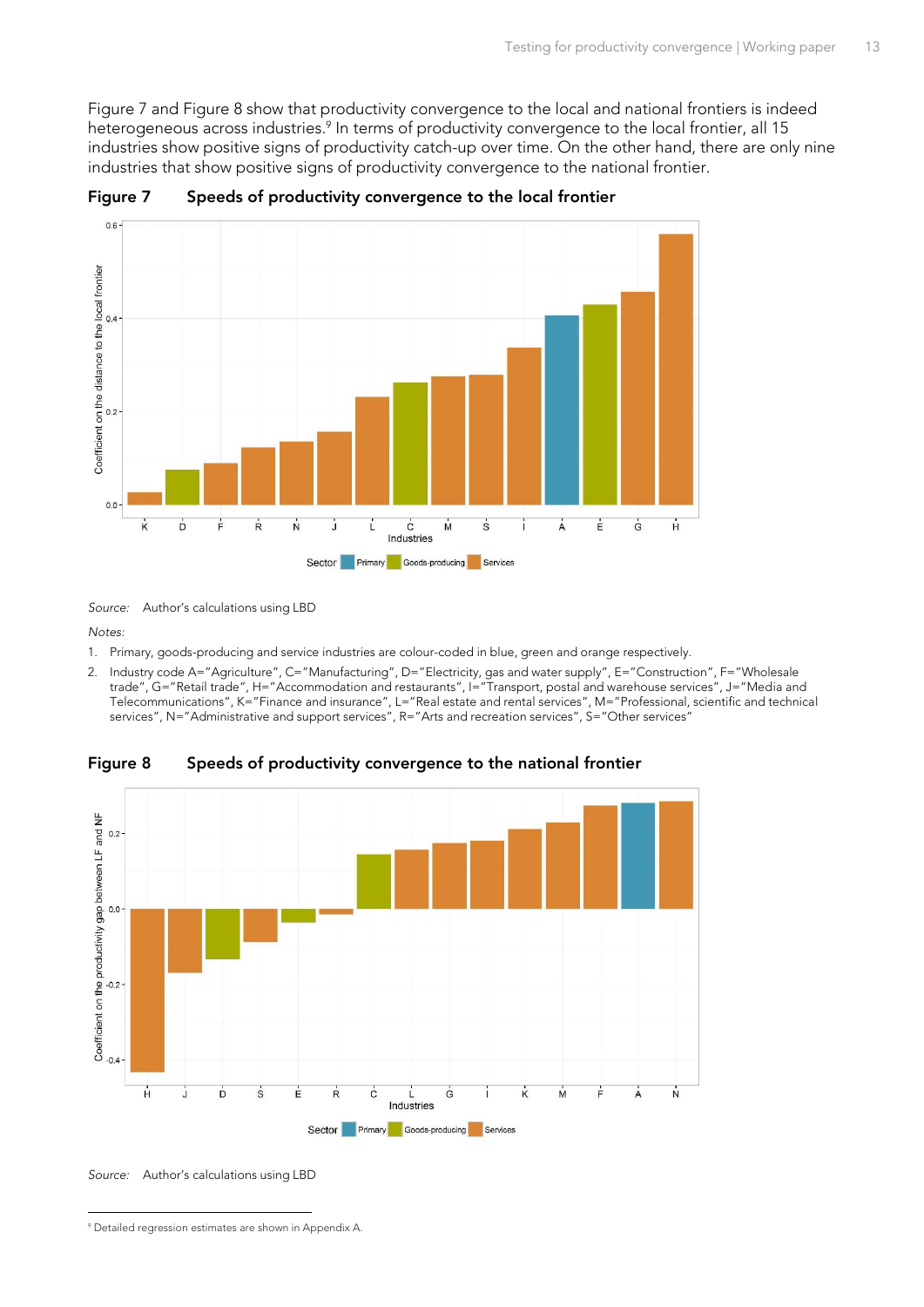<span id="page-16-2"></span>[Figure 7](#page-16-0) and [Figure 8](#page-16-1) show that productivity convergence to the local and national frontiers is indeed heterogeneous across industries.<sup>9</sup> In terms of productivity convergence to the local frontier, all 15 industries show positive signs of productivity catch-up over time. On the other hand, there are only nine industries that show positive signs of productivity convergence to the national frontier.

<span id="page-16-3"></span>

<span id="page-16-0"></span>**Figure 7 Speeds of productivity convergence to the local frontier**

*Source:* Author's calculations using LBD

*Notes:*

- 1. Primary, goods-producing and service industries are colour-coded in blue, green and orange respectively.
- 2. Industry code A="Agriculture", C="Manufacturing", D="Electricity, gas and water supply", E="Construction", F="Wholesale trade", G="Retail trade", H="Accommodation and restaurants", I="Transport, postal and warehouse services", J="Media and Telecommunications", K="Finance and insurance", L="Real estate and rental services", M="Professional, scientific and technical services", N="Administrative and support services", R="Arts and recreation services", S="Other services"

<span id="page-16-1"></span>**Figure 8 Speeds of productivity convergence to the national frontier**



*Source:* Author's calculations using LBD

<sup>-</sup><sup>9</sup> Detailed regression estimates are shown in Appendix A.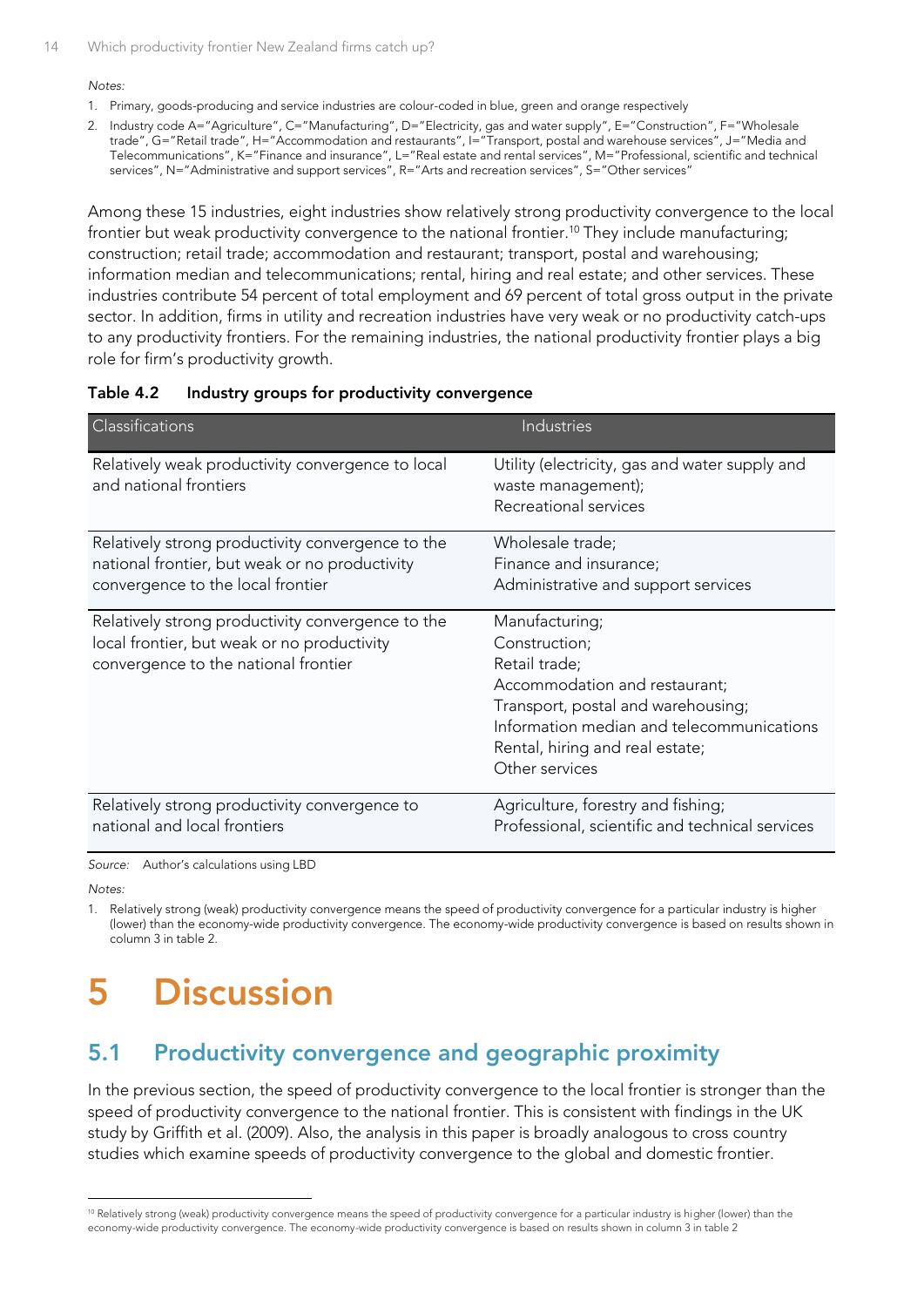#### *Notes:*

- 1. Primary, goods-producing and service industries are colour-coded in blue, green and orange respectively
- 2. Industry code A="Agriculture", C="Manufacturing", D="Electricity, gas and water supply", E="Construction", F="Wholesale trade", G="Retail trade", H="Accommodation and restaurants", I="Transport, postal and warehouse services", J="Media and Telecommunications", K="Finance and insurance", L="Real estate and rental services", M="Professional, scientific and technical services", N="Administrative and support services", R="Arts and recreation services", S="Other services'

Among these 15 industries, eight industries show relatively strong productivity convergence to the local frontier but weak productivity convergence to the national frontier.<sup>10</sup> They include manufacturing; construction; retail trade; accommodation and restaurant; transport, postal and warehousing; information median and telecommunications; rental, hiring and real estate; and other services. These industries contribute 54 percent of total employment and 69 percent of total gross output in the private sector. In addition, firms in utility and recreation industries have very weak or no productivity catch-ups to any productivity frontiers. For the remaining industries, the national productivity frontier plays a big role for firm's productivity growth.

#### <span id="page-17-2"></span>**Table 4.2 Industry groups for productivity convergence**

| Classifications                                                             | <b>Industries</b>                                                                             |
|-----------------------------------------------------------------------------|-----------------------------------------------------------------------------------------------|
| Relatively weak productivity convergence to local<br>and national frontiers | Utility (electricity, gas and water supply and<br>waste management);<br>Recreational services |
|                                                                             |                                                                                               |
| Relatively strong productivity convergence to the                           | Wholesale trade;                                                                              |
| national frontier, but weak or no productivity                              | Finance and insurance;                                                                        |
| convergence to the local frontier                                           | Administrative and support services                                                           |
| Relatively strong productivity convergence to the                           | Manufacturing;                                                                                |
| local frontier, but weak or no productivity                                 | Construction;                                                                                 |
| convergence to the national frontier                                        | Retail trade;                                                                                 |
|                                                                             | Accommodation and restaurant;                                                                 |
|                                                                             | Transport, postal and warehousing;                                                            |
|                                                                             | Information median and telecommunications                                                     |
|                                                                             | Rental, hiring and real estate;                                                               |
|                                                                             | Other services                                                                                |
| Relatively strong productivity convergence to                               | Agriculture, forestry and fishing;                                                            |
| national and local frontiers                                                | Professional, scientific and technical services                                               |

*Source:* Author's calculations using LBD

*Notes:*

-

1. Relatively strong (weak) productivity convergence means the speed of productivity convergence for a particular industry is higher (lower) than the economy-wide productivity convergence. The economy-wide productivity convergence is based on results shown in column 3 in table 2.

# <span id="page-17-0"></span>**5 Discussion**

### <span id="page-17-1"></span>**5.1 Productivity convergence and geographic proximity**

In the previous section, the speed of productivity convergence to the local frontier is stronger than the speed of productivity convergence to the national frontier. This is consistent with findings in the UK study by Griffith et al. (2009). Also, the analysis in this paper is broadly analogous to cross country studies which examine speeds of productivity convergence to the global and domestic frontier.

<sup>&</sup>lt;sup>10</sup> Relatively strong (weak) productivity convergence means the speed of productivity convergence for a particular industry is higher (lower) than the economy-wide productivity convergence. The economy-wide productivity convergence is based on results shown in column 3 in table 2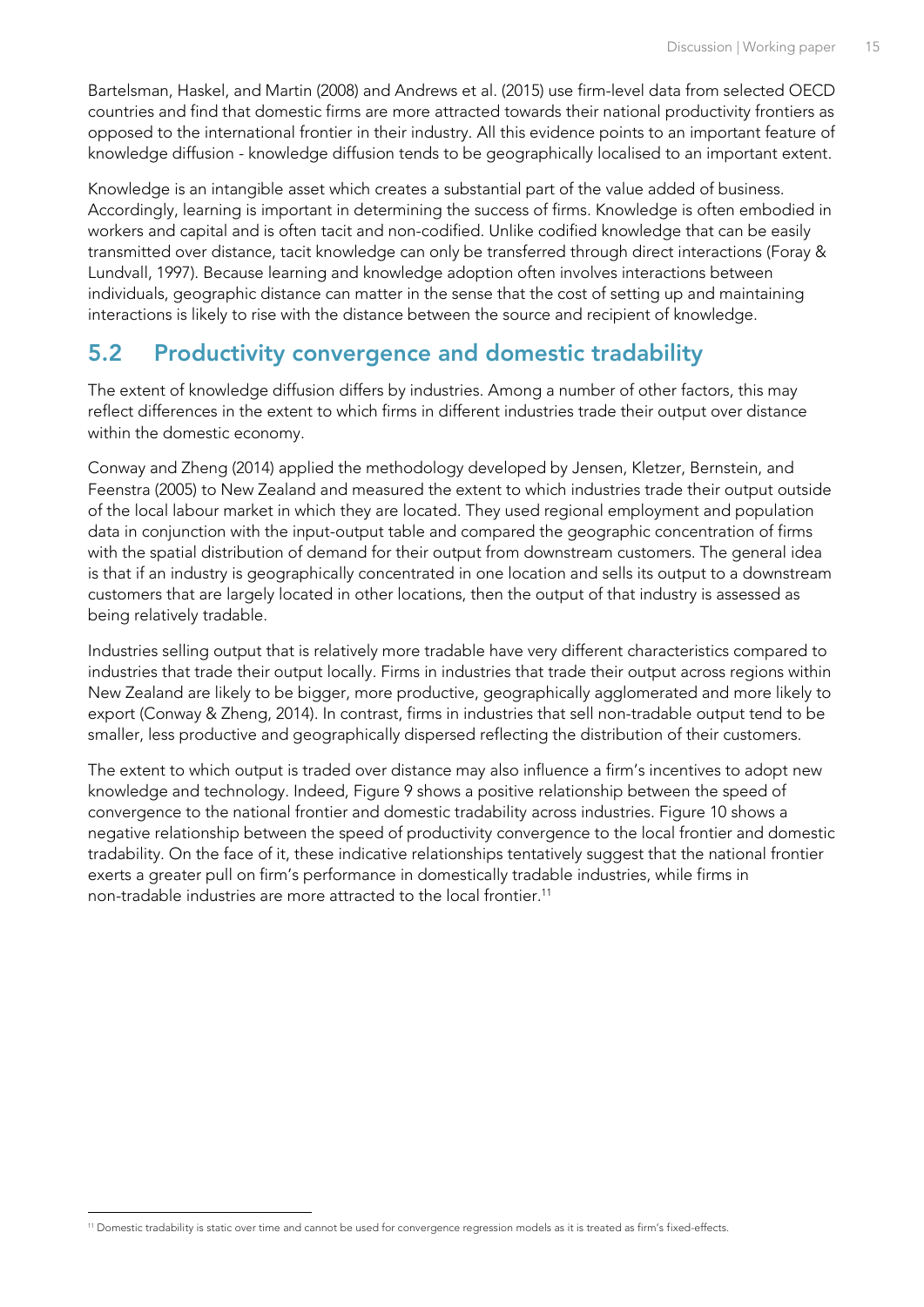Bartelsman, Haskel, and Martin (2008) and Andrews et al. (2015) use firm-level data from selected OECD countries and find that domestic firms are more attracted towards their national productivity frontiers as opposed to the international frontier in their industry. All this evidence points to an important feature of knowledge diffusion - knowledge diffusion tends to be geographically localised to an important extent.

Knowledge is an intangible asset which creates a substantial part of the value added of business. Accordingly, learning is important in determining the success of firms. Knowledge is often embodied in workers and capital and is often tacit and non-codified. Unlike codified knowledge that can be easily transmitted over distance, tacit knowledge can only be transferred through direct interactions (Foray & Lundvall, 1997). Because learning and knowledge adoption often involves interactions between individuals, geographic distance can matter in the sense that the cost of setting up and maintaining interactions is likely to rise with the distance between the source and recipient of knowledge.

### <span id="page-18-0"></span>**5.2 Productivity convergence and domestic tradability**

The extent of knowledge diffusion differs by industries. Among a number of other factors, this may reflect differences in the extent to which firms in different industries trade their output over distance within the domestic economy.

Conway and Zheng (2014) applied the methodology developed by Jensen, Kletzer, Bernstein, and Feenstra (2005) to New Zealand and measured the extent to which industries trade their output outside of the local labour market in which they are located. They used regional employment and population data in conjunction with the input-output table and compared the geographic concentration of firms with the spatial distribution of demand for their output from downstream customers. The general idea is that if an industry is geographically concentrated in one location and sells its output to a downstream customers that are largely located in other locations, then the output of that industry is assessed as being relatively tradable.

Industries selling output that is relatively more tradable have very different characteristics compared to industries that trade their output locally. Firms in industries that trade their output across regions within New Zealand are likely to be bigger, more productive, geographically agglomerated and more likely to export (Conway & Zheng, 2014). In contrast, firms in industries that sell non-tradable output tend to be smaller, less productive and geographically dispersed reflecting the distribution of their customers.

The extent to which output is traded over distance may also influence a firm's incentives to adopt new knowledge and technology. Indeed, [Figure 9](#page-19-0) shows a positive relationship between the speed of convergence to the national frontier and domestic tradability across industries[. Figure 10](#page-19-1) shows a negative relationship between the speed of productivity convergence to the local frontier and domestic tradability. On the face of it, these indicative relationships tentatively suggest that the national frontier exerts a greater pull on firm's performance in domestically tradable industries, while firms in non-tradable industries are more attracted to the local frontier. 11

<sup>-</sup><sup>11</sup> Domestic tradability is static over time and cannot be used for convergence regression models as it is treated as firm's fixed-effects.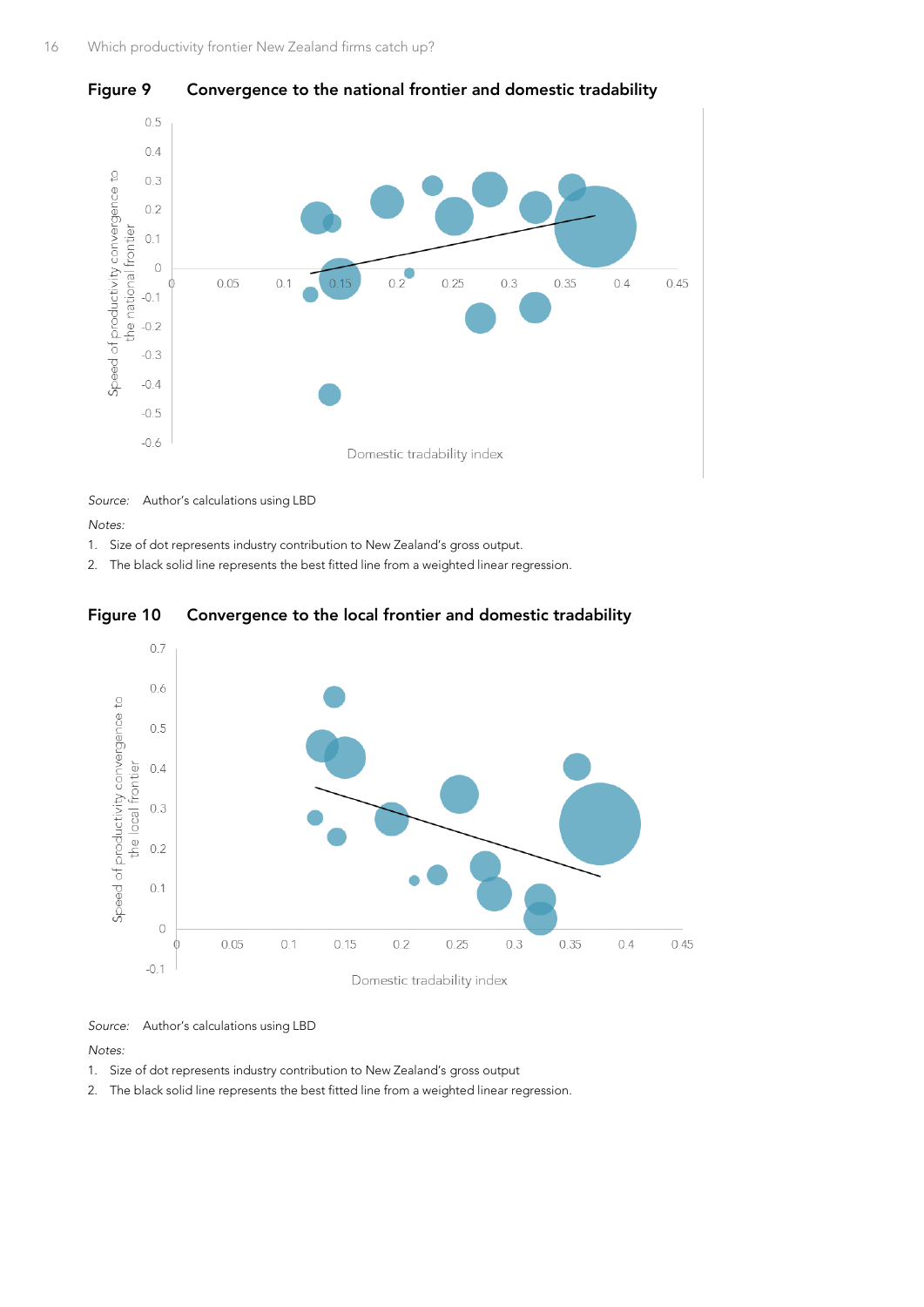

#### <span id="page-19-0"></span>**Figure 9 Convergence to the national frontier and domestic tradability**

*Source:* Author's calculations using LBD

*Notes:*

- 1. Size of dot represents industry contribution to New Zealand's gross output.
- 2. The black solid line represents the best fitted line from a weighted linear regression.

<span id="page-19-1"></span>



*Source:* Author's calculations using LBD

*Notes:*

- 1. Size of dot represents industry contribution to New Zealand's gross output
- 2. The black solid line represents the best fitted line from a weighted linear regression.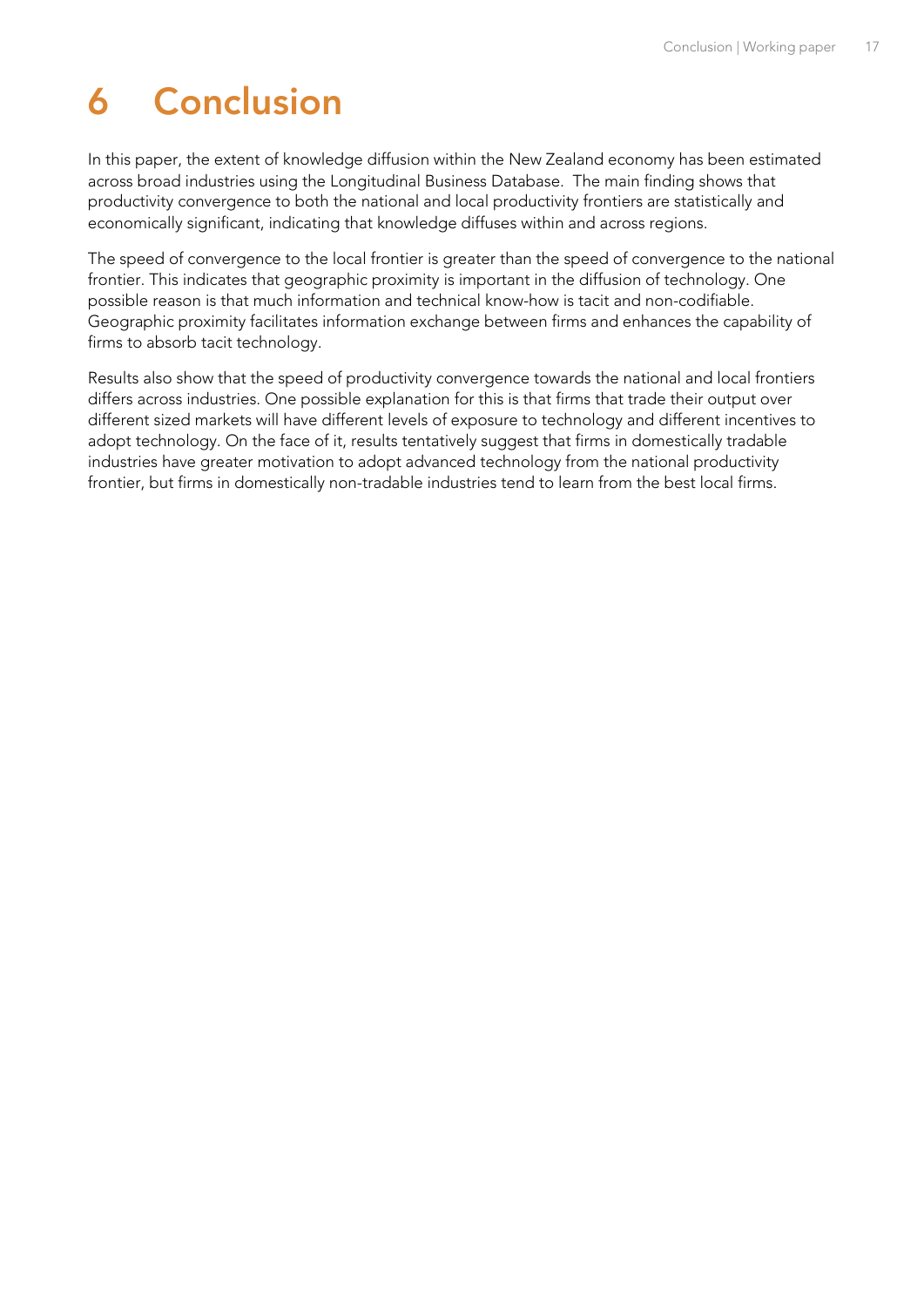# <span id="page-20-0"></span>**6 Conclusion**

In this paper, the extent of knowledge diffusion within the New Zealand economy has been estimated across broad industries using the Longitudinal Business Database. The main finding shows that productivity convergence to both the national and local productivity frontiers are statistically and economically significant, indicating that knowledge diffuses within and across regions.

The speed of convergence to the local frontier is greater than the speed of convergence to the national frontier. This indicates that geographic proximity is important in the diffusion of technology. One possible reason is that much information and technical know-how is tacit and non-codifiable. Geographic proximity facilitates information exchange between firms and enhances the capability of firms to absorb tacit technology.

Results also show that the speed of productivity convergence towards the national and local frontiers differs across industries. One possible explanation for this is that firms that trade their output over different sized markets will have different levels of exposure to technology and different incentives to adopt technology. On the face of it, results tentatively suggest that firms in domestically tradable industries have greater motivation to adopt advanced technology from the national productivity frontier, but firms in domestically non-tradable industries tend to learn from the best local firms.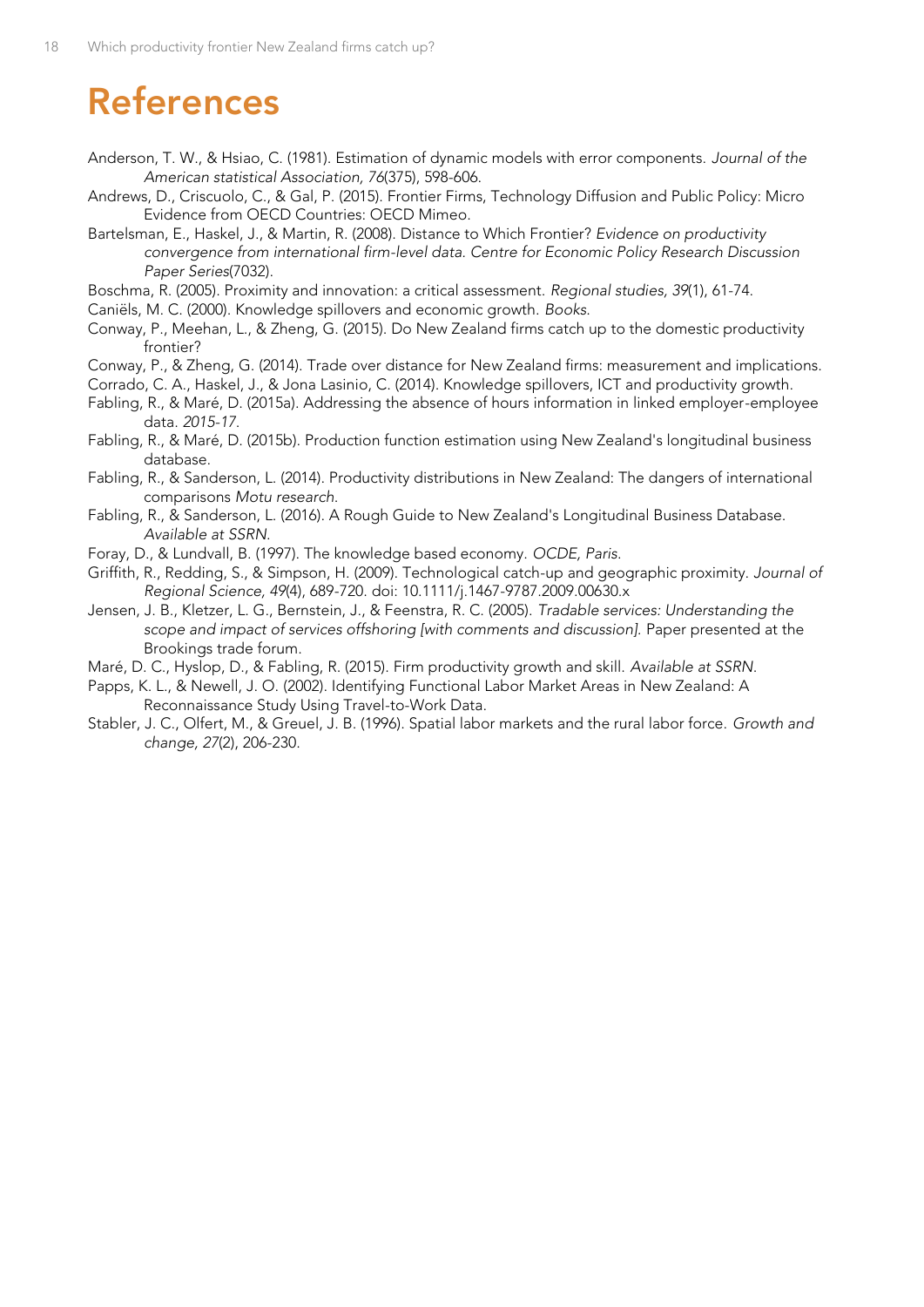## <span id="page-21-0"></span>**References**

- Anderson, T. W., & Hsiao, C. (1981). Estimation of dynamic models with error components. *Journal of the American statistical Association, 76*(375), 598-606.
- Andrews, D., Criscuolo, C., & Gal, P. (2015). Frontier Firms, Technology Diffusion and Public Policy: Micro Evidence from OECD Countries: OECD Mimeo.
- Bartelsman, E., Haskel, J., & Martin, R. (2008). Distance to Which Frontier? *Evidence on productivity convergence from international firm-level data. Centre for Economic Policy Research Discussion Paper Series*(7032).
- Boschma, R. (2005). Proximity and innovation: a critical assessment. *Regional studies, 39*(1), 61-74.
- Caniëls, M. C. (2000). Knowledge spillovers and economic growth. *Books*.
- Conway, P., Meehan, L., & Zheng, G. (2015). Do New Zealand firms catch up to the domestic productivity frontier?
- Conway, P., & Zheng, G. (2014). Trade over distance for New Zealand firms: measurement and implications.
- Corrado, C. A., Haskel, J., & Jona Lasinio, C. (2014). Knowledge spillovers, ICT and productivity growth.
- Fabling, R., & Maré, D. (2015a). Addressing the absence of hours information in linked employer-employee data. *2015-17*.
- Fabling, R., & Maré, D. (2015b). Production function estimation using New Zealand's longitudinal business database.
- Fabling, R., & Sanderson, L. (2014). Productivity distributions in New Zealand: The dangers of international comparisons *Motu research*.
- Fabling, R., & Sanderson, L. (2016). A Rough Guide to New Zealand's Longitudinal Business Database. *Available at SSRN*.
- Foray, D., & Lundvall, B. (1997). The knowledge based economy. *OCDE, Paris*.
- Griffith, R., Redding, S., & Simpson, H. (2009). Technological catch-up and geographic proximity. *Journal of Regional Science, 49*(4), 689-720. doi: 10.1111/j.1467-9787.2009.00630.x
- Jensen, J. B., Kletzer, L. G., Bernstein, J., & Feenstra, R. C. (2005). *Tradable services: Understanding the scope and impact of services offshoring [with comments and discussion].* Paper presented at the Brookings trade forum.
- Maré, D. C., Hyslop, D., & Fabling, R. (2015). Firm productivity growth and skill. *Available at SSRN*.
- Papps, K. L., & Newell, J. O. (2002). Identifying Functional Labor Market Areas in New Zealand: A Reconnaissance Study Using Travel-to-Work Data.
- Stabler, J. C., Olfert, M., & Greuel, J. B. (1996). Spatial labor markets and the rural labor force. *Growth and change, 27*(2), 206-230.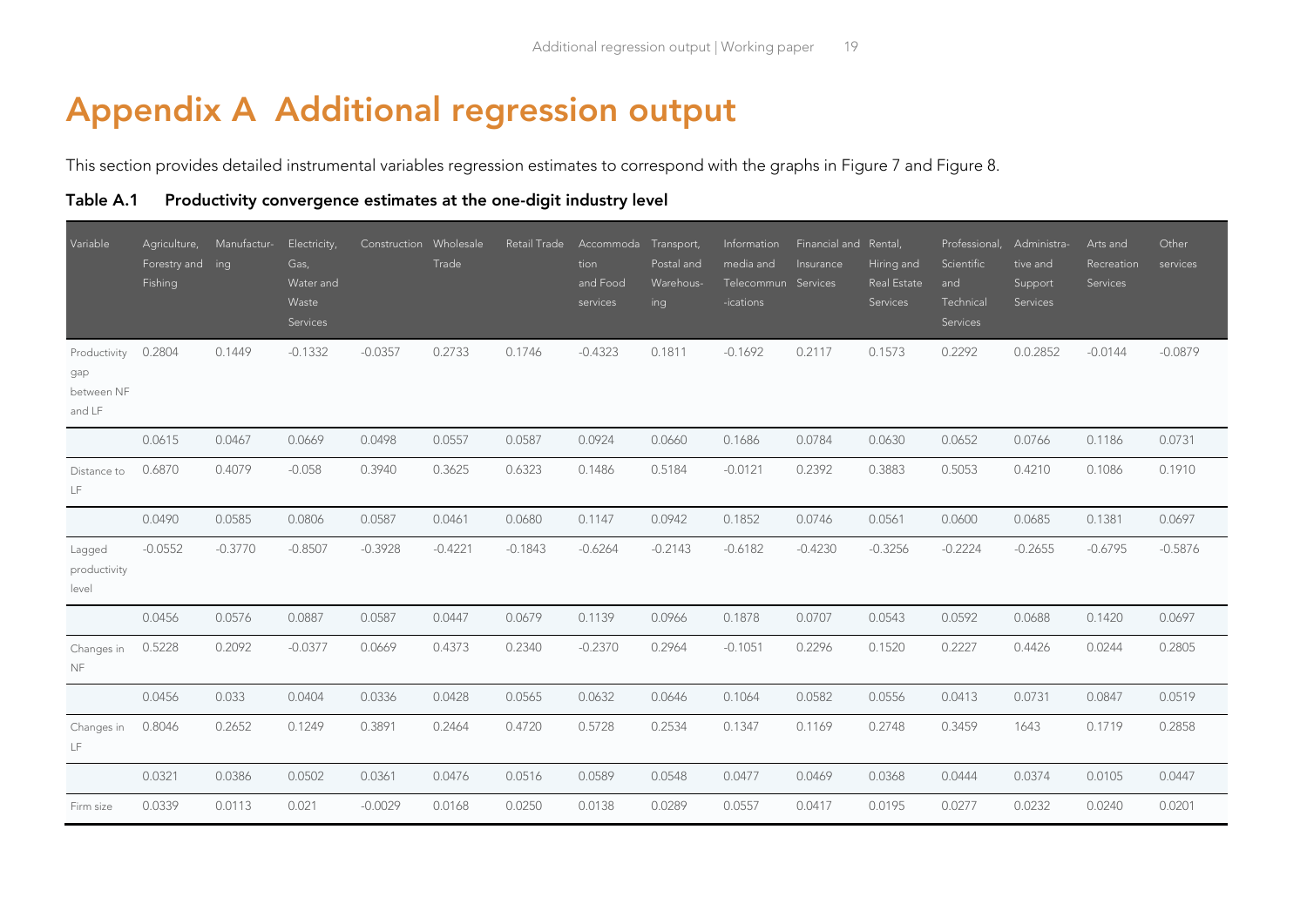### **Appendix A Additional regression output**

This section provides detailed instrumental variables regression estimates to correspond with the graphs in [Figure 7](#page-16-2) and [Figure 8.](#page-16-3)

**Table A.1 Productivity convergence estimates at the one-digit industry level**

<span id="page-22-0"></span>

| Variable                                    | Agriculture,<br>Forestry and ing<br>Fishing | Manufactur- | Electricity,<br>Gas,<br>Water and<br>Waste<br>Services | Construction Wholesale | Trade     | Retail Trade | Accommoda Transport,<br>tion<br>and Food<br>services | Postal and<br>Warehous-<br>ing | Information<br>media and<br>Telecommun Services<br>-ications | Financial and Rental,<br>Insurance | Hiring and<br>Real Estate<br>Services | Professional,<br>Scientific<br>and<br>Technical<br>Services | Administra-<br>tive and<br>Support<br>Services | Arts and<br>Recreation<br>Services | Other<br>services |
|---------------------------------------------|---------------------------------------------|-------------|--------------------------------------------------------|------------------------|-----------|--------------|------------------------------------------------------|--------------------------------|--------------------------------------------------------------|------------------------------------|---------------------------------------|-------------------------------------------------------------|------------------------------------------------|------------------------------------|-------------------|
| Productivity<br>gap<br>between NF<br>and LF | 0.2804                                      | 0.1449      | $-0.1332$                                              | $-0.0357$              | 0.2733    | 0.1746       | $-0.4323$                                            | 0.1811                         | $-0.1692$                                                    | 0.2117                             | 0.1573                                | 0.2292                                                      | 0.0.2852                                       | $-0.0144$                          | $-0.0879$         |
|                                             | 0.0615                                      | 0.0467      | 0.0669                                                 | 0.0498                 | 0.0557    | 0.0587       | 0.0924                                               | 0.0660                         | 0.1686                                                       | 0.0784                             | 0.0630                                | 0.0652                                                      | 0.0766                                         | 0.1186                             | 0.0731            |
| Distance to<br>LF                           | 0.6870                                      | 0.4079      | $-0.058$                                               | 0.3940                 | 0.3625    | 0.6323       | 0.1486                                               | 0.5184                         | $-0.0121$                                                    | 0.2392                             | 0.3883                                | 0.5053                                                      | 0.4210                                         | 0.1086                             | 0.1910            |
|                                             | 0.0490                                      | 0.0585      | 0.0806                                                 | 0.0587                 | 0.0461    | 0.0680       | 0.1147                                               | 0.0942                         | 0.1852                                                       | 0.0746                             | 0.0561                                | 0.0600                                                      | 0.0685                                         | 0.1381                             | 0.0697            |
| Lagged<br>productivity<br>level             | $-0.0552$                                   | $-0.3770$   | $-0.8507$                                              | $-0.3928$              | $-0.4221$ | $-0.1843$    | $-0.6264$                                            | $-0.2143$                      | $-0.6182$                                                    | $-0.4230$                          | $-0.3256$                             | $-0.2224$                                                   | $-0.2655$                                      | $-0.6795$                          | $-0.5876$         |
|                                             | 0.0456                                      | 0.0576      | 0.0887                                                 | 0.0587                 | 0.0447    | 0.0679       | 0.1139                                               | 0.0966                         | 0.1878                                                       | 0.0707                             | 0.0543                                | 0.0592                                                      | 0.0688                                         | 0.1420                             | 0.0697            |
| Changes in<br><b>NF</b>                     | 0.5228                                      | 0.2092      | $-0.0377$                                              | 0.0669                 | 0.4373    | 0.2340       | $-0.2370$                                            | 0.2964                         | $-0.1051$                                                    | 0.2296                             | 0.1520                                | 0.2227                                                      | 0.4426                                         | 0.0244                             | 0.2805            |
|                                             | 0.0456                                      | 0.033       | 0.0404                                                 | 0.0336                 | 0.0428    | 0.0565       | 0.0632                                               | 0.0646                         | 0.1064                                                       | 0.0582                             | 0.0556                                | 0.0413                                                      | 0.0731                                         | 0.0847                             | 0.0519            |
| Changes in<br>LF                            | 0.8046                                      | 0.2652      | 0.1249                                                 | 0.3891                 | 0.2464    | 0.4720       | 0.5728                                               | 0.2534                         | 0.1347                                                       | 0.1169                             | 0.2748                                | 0.3459                                                      | 1643                                           | 0.1719                             | 0.2858            |
|                                             | 0.0321                                      | 0.0386      | 0.0502                                                 | 0.0361                 | 0.0476    | 0.0516       | 0.0589                                               | 0.0548                         | 0.0477                                                       | 0.0469                             | 0.0368                                | 0.0444                                                      | 0.0374                                         | 0.0105                             | 0.0447            |
| Firm size                                   | 0.0339                                      | 0.0113      | 0.021                                                  | $-0.0029$              | 0.0168    | 0.0250       | 0.0138                                               | 0.0289                         | 0.0557                                                       | 0.0417                             | 0.0195                                | 0.0277                                                      | 0.0232                                         | 0.0240                             | 0.0201            |